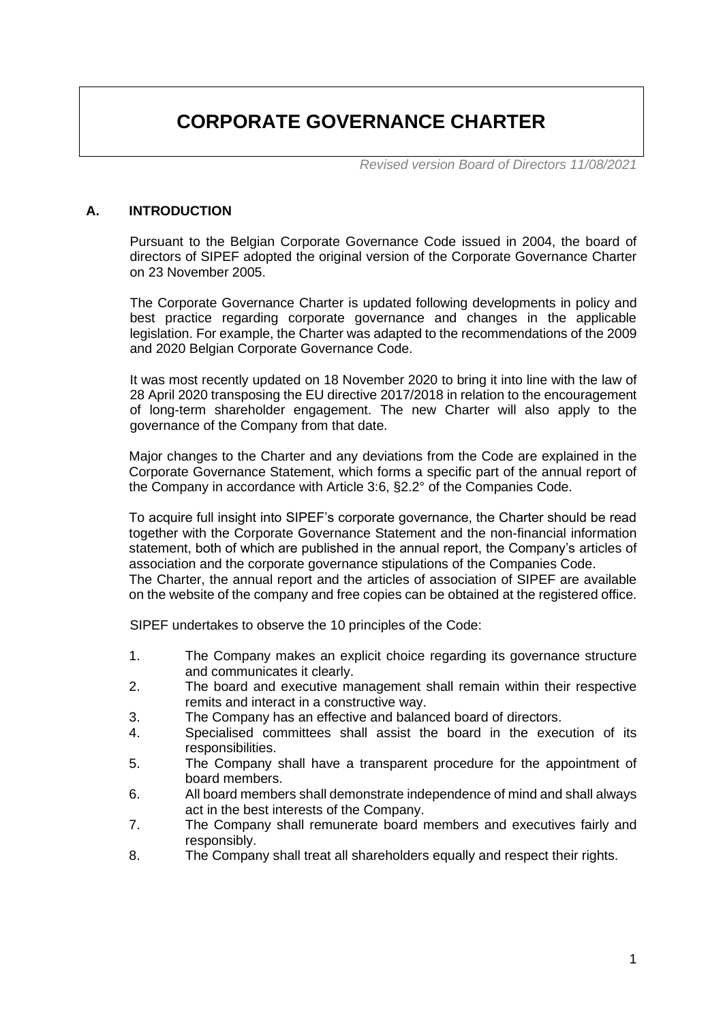# **CORPORATE GOVERNANCE CHARTER**

*Revised version Board of Directors 11/08/2021*

#### **A. INTRODUCTION**

Pursuant to the Belgian Corporate Governance Code issued in 2004, the board of directors of SIPEF adopted the original version of the Corporate Governance Charter on 23 November 2005.

The Corporate Governance Charter is updated following developments in policy and best practice regarding corporate governance and changes in the applicable legislation. For example, the Charter was adapted to the recommendations of the 2009 and 2020 Belgian Corporate Governance Code.

It was most recently updated on 18 November 2020 to bring it into line with the law of 28 April 2020 transposing the EU directive 2017/2018 in relation to the encouragement of long-term shareholder engagement. The new Charter will also apply to the governance of the Company from that date.

Major changes to the Charter and any deviations from the Code are explained in the Corporate Governance Statement, which forms a specific part of the annual report of the Company in accordance with Article 3:6, §2.2° of the Companies Code.

To acquire full insight into SIPEF's corporate governance, the Charter should be read together with the Corporate Governance Statement and the non-financial information statement, both of which are published in the annual report, the Company's articles of association and the corporate governance stipulations of the Companies Code. The Charter, the annual report and the articles of association of SIPEF are available on the website of the company and free copies can be obtained at the registered office.

SIPEF undertakes to observe the 10 principles of the Code:

- 1. The Company makes an explicit choice regarding its governance structure and communicates it clearly.
- 2. The board and executive management shall remain within their respective remits and interact in a constructive way.
- 3. The Company has an effective and balanced board of directors.
- 4. Specialised committees shall assist the board in the execution of its responsibilities.
- 5. The Company shall have a transparent procedure for the appointment of board members.
- 6. All board members shall demonstrate independence of mind and shall always act in the best interests of the Company.
- 7. The Company shall remunerate board members and executives fairly and responsibly.
- 8. The Company shall treat all shareholders equally and respect their rights.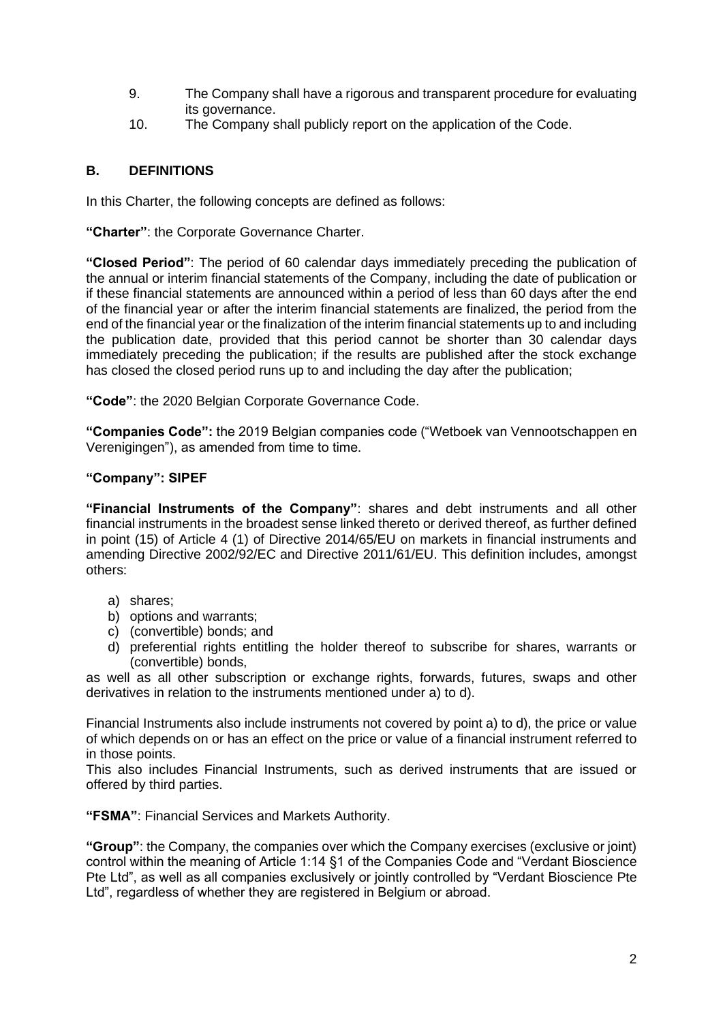- 9. The Company shall have a rigorous and transparent procedure for evaluating its governance.
- 10. The Company shall publicly report on the application of the Code.

#### **B. DEFINITIONS**

In this Charter, the following concepts are defined as follows:

**"Charter"**: the Corporate Governance Charter.

**"Closed Period"**: The period of 60 calendar days immediately preceding the publication of the annual or interim financial statements of the Company, including the date of publication or if these financial statements are announced within a period of less than 60 days after the end of the financial year or after the interim financial statements are finalized, the period from the end of the financial year or the finalization of the interim financial statements up to and including the publication date, provided that this period cannot be shorter than 30 calendar days immediately preceding the publication; if the results are published after the stock exchange has closed the closed period runs up to and including the day after the publication;

**"Code"**: the 2020 Belgian Corporate Governance Code.

**"Companies Code":** the 2019 Belgian companies code ("Wetboek van Vennootschappen en Verenigingen"), as amended from time to time.

#### **"Company": SIPEF**

**"Financial Instruments of the Company"**: shares and debt instruments and all other financial instruments in the broadest sense linked thereto or derived thereof, as further defined in point (15) of Article 4 (1) of Directive 2014/65/EU on markets in financial instruments and amending Directive 2002/92/EC and Directive 2011/61/EU. This definition includes, amongst others:

- a) shares;
- b) options and warrants;
- c) (convertible) bonds; and
- d) preferential rights entitling the holder thereof to subscribe for shares, warrants or (convertible) bonds,

as well as all other subscription or exchange rights, forwards, futures, swaps and other derivatives in relation to the instruments mentioned under a) to d).

Financial Instruments also include instruments not covered by point a) to d), the price or value of which depends on or has an effect on the price or value of a financial instrument referred to in those points.

This also includes Financial Instruments, such as derived instruments that are issued or offered by third parties.

**"FSMA"**: Financial Services and Markets Authority.

**"Group"**: the Company, the companies over which the Company exercises (exclusive or joint) control within the meaning of Article 1:14 §1 of the Companies Code and "Verdant Bioscience Pte Ltd", as well as all companies exclusively or jointly controlled by "Verdant Bioscience Pte Ltd", regardless of whether they are registered in Belgium or abroad.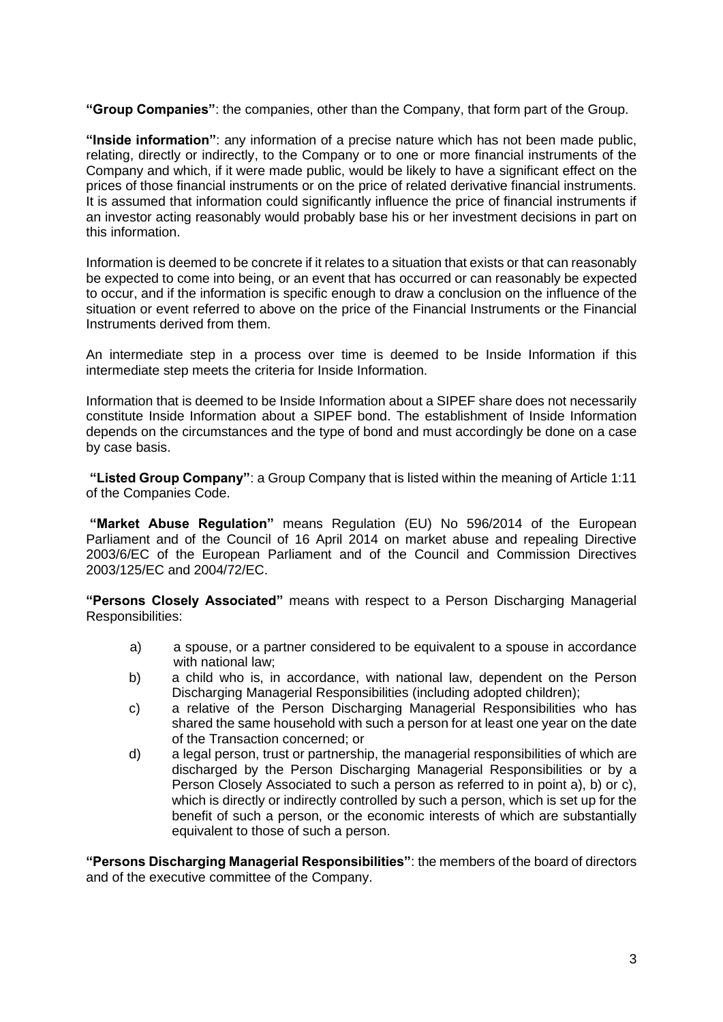**"Group Companies"**: the companies, other than the Company, that form part of the Group.

**"Inside information"**: any information of a precise nature which has not been made public, relating, directly or indirectly, to the Company or to one or more financial instruments of the Company and which, if it were made public, would be likely to have a significant effect on the prices of those financial instruments or on the price of related derivative financial instruments. It is assumed that information could significantly influence the price of financial instruments if an investor acting reasonably would probably base his or her investment decisions in part on this information.

Information is deemed to be concrete if it relates to a situation that exists or that can reasonably be expected to come into being, or an event that has occurred or can reasonably be expected to occur, and if the information is specific enough to draw a conclusion on the influence of the situation or event referred to above on the price of the Financial Instruments or the Financial Instruments derived from them.

An intermediate step in a process over time is deemed to be Inside Information if this intermediate step meets the criteria for Inside Information.

Information that is deemed to be Inside Information about a SIPEF share does not necessarily constitute Inside Information about a SIPEF bond. The establishment of Inside Information depends on the circumstances and the type of bond and must accordingly be done on a case by case basis.

**"Listed Group Company"**: a Group Company that is listed within the meaning of Article 1:11 of the Companies Code.

**"Market Abuse Regulation"** means Regulation (EU) No 596/2014 of the European Parliament and of the Council of 16 April 2014 on market abuse and repealing Directive 2003/6/EC of the European Parliament and of the Council and Commission Directives 2003/125/EC and 2004/72/EC.

**"Persons Closely Associated"** means with respect to a Person Discharging Managerial Responsibilities:

- a) a spouse, or a partner considered to be equivalent to a spouse in accordance with national law;
- b) a child who is, in accordance, with national law, dependent on the Person Discharging Managerial Responsibilities (including adopted children);
- c) a relative of the Person Discharging Managerial Responsibilities who has shared the same household with such a person for at least one year on the date of the Transaction concerned; or
- d) a legal person, trust or partnership, the managerial responsibilities of which are discharged by the Person Discharging Managerial Responsibilities or by a Person Closely Associated to such a person as referred to in point a), b) or c), which is directly or indirectly controlled by such a person, which is set up for the benefit of such a person, or the economic interests of which are substantially equivalent to those of such a person.

**"Persons Discharging Managerial Responsibilities"**: the members of the board of directors and of the executive committee of the Company.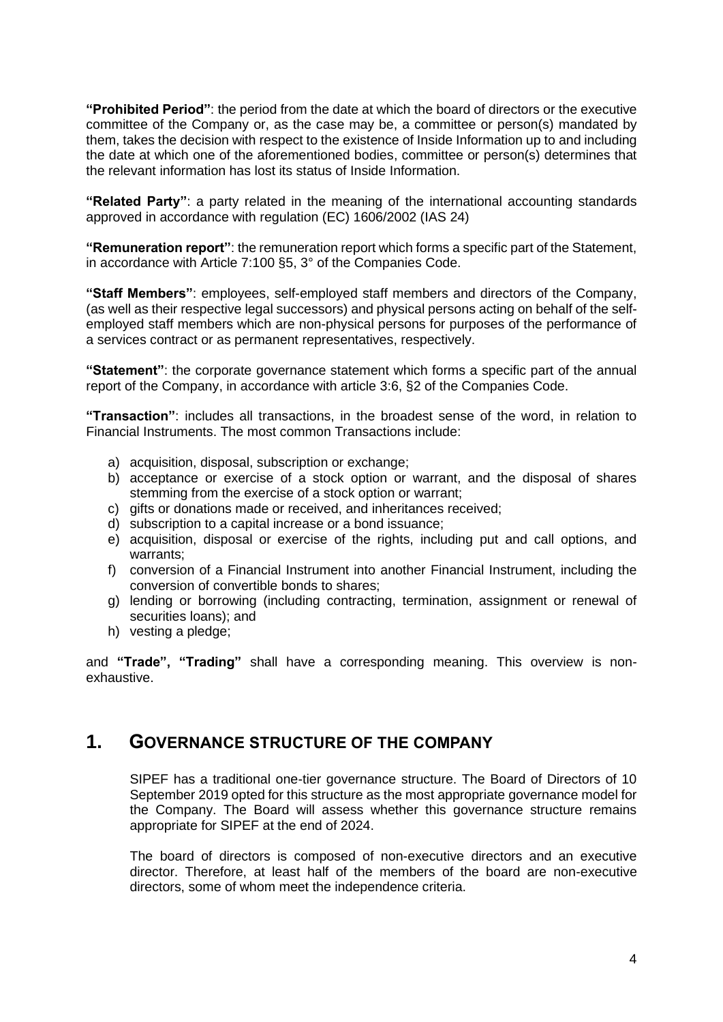**"Prohibited Period"**: the period from the date at which the board of directors or the executive committee of the Company or, as the case may be, a committee or person(s) mandated by them, takes the decision with respect to the existence of Inside Information up to and including the date at which one of the aforementioned bodies, committee or person(s) determines that the relevant information has lost its status of Inside Information.

**"Related Party"**: a party related in the meaning of the international accounting standards approved in accordance with regulation (EC) 1606/2002 (IAS 24)

**"Remuneration report"**: the remuneration report which forms a specific part of the Statement, in accordance with Article 7:100 §5, 3° of the Companies Code.

**"Staff Members"**: employees, self-employed staff members and directors of the Company, (as well as their respective legal successors) and physical persons acting on behalf of the selfemployed staff members which are non-physical persons for purposes of the performance of a services contract or as permanent representatives, respectively.

**"Statement"**: the corporate governance statement which forms a specific part of the annual report of the Company, in accordance with article 3:6, §2 of the Companies Code.

**"Transaction"**: includes all transactions, in the broadest sense of the word, in relation to Financial Instruments. The most common Transactions include:

- a) acquisition, disposal, subscription or exchange;
- b) acceptance or exercise of a stock option or warrant, and the disposal of shares stemming from the exercise of a stock option or warrant;
- c) gifts or donations made or received, and inheritances received;
- d) subscription to a capital increase or a bond issuance;
- e) acquisition, disposal or exercise of the rights, including put and call options, and warrants;
- f) conversion of a Financial Instrument into another Financial Instrument, including the conversion of convertible bonds to shares;
- g) lending or borrowing (including contracting, termination, assignment or renewal of securities loans); and
- h) vesting a pledge;

and **"Trade", "Trading"** shall have a corresponding meaning. This overview is nonexhaustive.

### **1. GOVERNANCE STRUCTURE OF THE COMPANY**

SIPEF has a traditional one-tier governance structure. The Board of Directors of 10 September 2019 opted for this structure as the most appropriate governance model for the Company. The Board will assess whether this governance structure remains appropriate for SIPEF at the end of 2024.

The board of directors is composed of non-executive directors and an executive director. Therefore, at least half of the members of the board are non-executive directors, some of whom meet the independence criteria.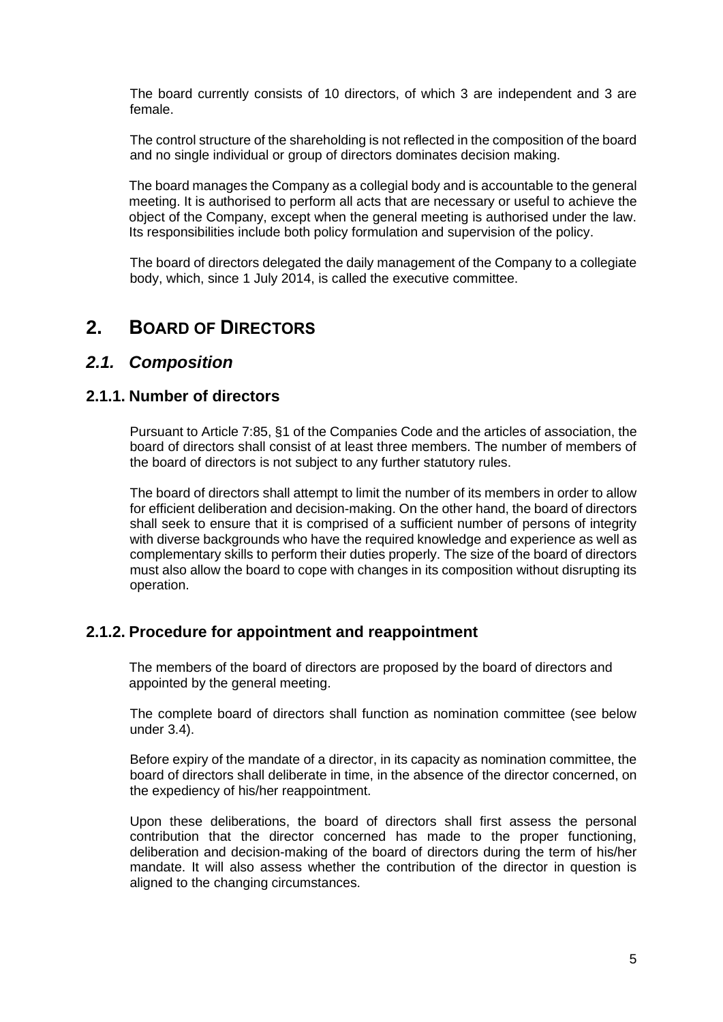The board currently consists of 10 directors, of which 3 are independent and 3 are female.

The control structure of the shareholding is not reflected in the composition of the board and no single individual or group of directors dominates decision making.

The board manages the Company as a collegial body and is accountable to the general meeting. It is authorised to perform all acts that are necessary or useful to achieve the object of the Company, except when the general meeting is authorised under the law. Its responsibilities include both policy formulation and supervision of the policy.

The board of directors delegated the daily management of the Company to a collegiate body, which, since 1 July 2014, is called the executive committee.

## **2. BOARD OF DIRECTORS**

#### *2.1. Composition*

#### **2.1.1. Number of directors**

Pursuant to Article 7:85, §1 of the Companies Code and the articles of association, the board of directors shall consist of at least three members. The number of members of the board of directors is not subject to any further statutory rules.

The board of directors shall attempt to limit the number of its members in order to allow for efficient deliberation and decision-making. On the other hand, the board of directors shall seek to ensure that it is comprised of a sufficient number of persons of integrity with diverse backgrounds who have the required knowledge and experience as well as complementary skills to perform their duties properly. The size of the board of directors must also allow the board to cope with changes in its composition without disrupting its operation.

#### **2.1.2. Procedure for appointment and reappointment**

The members of the board of directors are proposed by the board of directors and appointed by the general meeting.

The complete board of directors shall function as nomination committee (see below under 3.4).

Before expiry of the mandate of a director, in its capacity as nomination committee, the board of directors shall deliberate in time, in the absence of the director concerned, on the expediency of his/her reappointment.

Upon these deliberations, the board of directors shall first assess the personal contribution that the director concerned has made to the proper functioning, deliberation and decision-making of the board of directors during the term of his/her mandate. It will also assess whether the contribution of the director in question is aligned to the changing circumstances.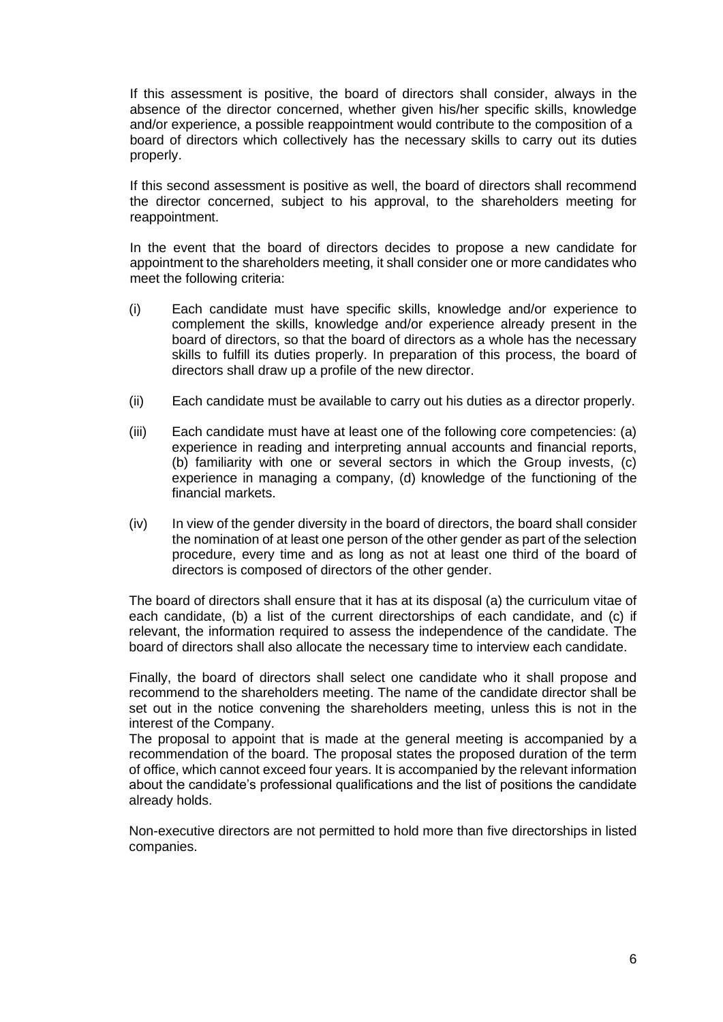If this assessment is positive, the board of directors shall consider, always in the absence of the director concerned, whether given his/her specific skills, knowledge and/or experience, a possible reappointment would contribute to the composition of a board of directors which collectively has the necessary skills to carry out its duties properly.

If this second assessment is positive as well, the board of directors shall recommend the director concerned, subject to his approval, to the shareholders meeting for reappointment.

In the event that the board of directors decides to propose a new candidate for appointment to the shareholders meeting, it shall consider one or more candidates who meet the following criteria:

- (i) Each candidate must have specific skills, knowledge and/or experience to complement the skills, knowledge and/or experience already present in the board of directors, so that the board of directors as a whole has the necessary skills to fulfill its duties properly. In preparation of this process, the board of directors shall draw up a profile of the new director.
- (ii) Each candidate must be available to carry out his duties as a director properly.
- (iii) Each candidate must have at least one of the following core competencies: (a) experience in reading and interpreting annual accounts and financial reports, (b) familiarity with one or several sectors in which the Group invests, (c) experience in managing a company, (d) knowledge of the functioning of the financial markets.
- (iv) In view of the gender diversity in the board of directors, the board shall consider the nomination of at least one person of the other gender as part of the selection procedure, every time and as long as not at least one third of the board of directors is composed of directors of the other gender.

The board of directors shall ensure that it has at its disposal (a) the curriculum vitae of each candidate, (b) a list of the current directorships of each candidate, and (c) if relevant, the information required to assess the independence of the candidate. The board of directors shall also allocate the necessary time to interview each candidate.

Finally, the board of directors shall select one candidate who it shall propose and recommend to the shareholders meeting. The name of the candidate director shall be set out in the notice convening the shareholders meeting, unless this is not in the interest of the Company.

The proposal to appoint that is made at the general meeting is accompanied by a recommendation of the board. The proposal states the proposed duration of the term of office, which cannot exceed four years. It is accompanied by the relevant information about the candidate's professional qualifications and the list of positions the candidate already holds.

Non-executive directors are not permitted to hold more than five directorships in listed companies.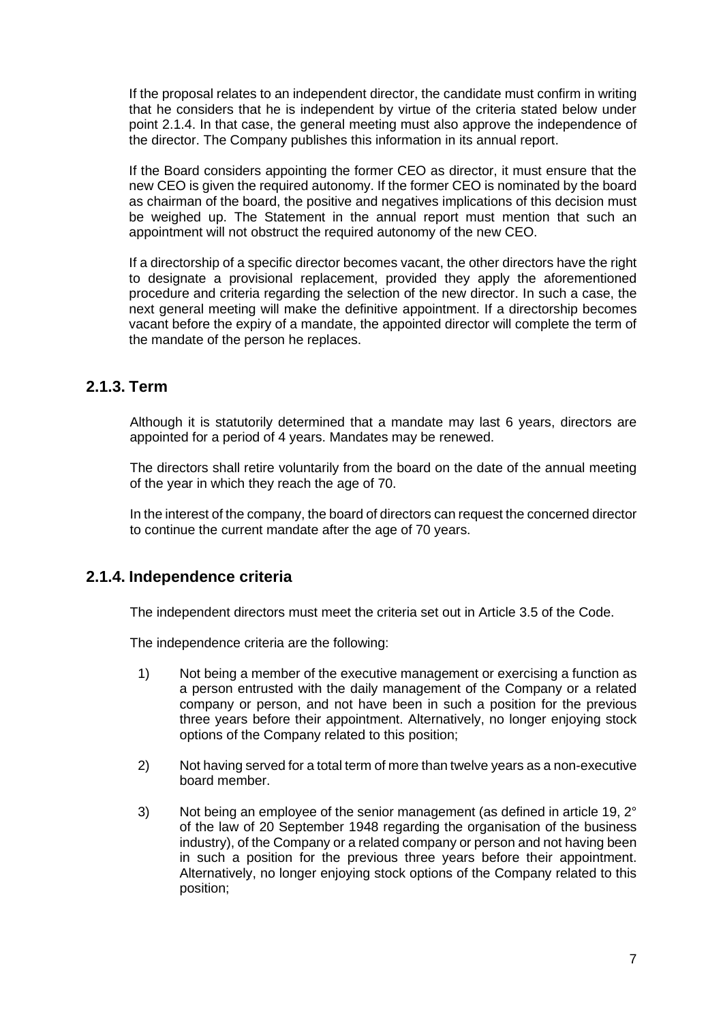If the proposal relates to an independent director, the candidate must confirm in writing that he considers that he is independent by virtue of the criteria stated below under point 2.1.4. In that case, the general meeting must also approve the independence of the director. The Company publishes this information in its annual report.

If the Board considers appointing the former CEO as director, it must ensure that the new CEO is given the required autonomy. If the former CEO is nominated by the board as chairman of the board, the positive and negatives implications of this decision must be weighed up. The Statement in the annual report must mention that such an appointment will not obstruct the required autonomy of the new CEO.

If a directorship of a specific director becomes vacant, the other directors have the right to designate a provisional replacement, provided they apply the aforementioned procedure and criteria regarding the selection of the new director. In such a case, the next general meeting will make the definitive appointment. If a directorship becomes vacant before the expiry of a mandate, the appointed director will complete the term of the mandate of the person he replaces.

### **2.1.3. Term**

Although it is statutorily determined that a mandate may last 6 years, directors are appointed for a period of 4 years. Mandates may be renewed.

The directors shall retire voluntarily from the board on the date of the annual meeting of the year in which they reach the age of 70.

In the interest of the company, the board of directors can request the concerned director to continue the current mandate after the age of 70 years.

### **2.1.4. Independence criteria**

The independent directors must meet the criteria set out in Article 3.5 of the Code.

The independence criteria are the following:

- 1) Not being a member of the executive management or exercising a function as a person entrusted with the daily management of the Company or a related company or person, and not have been in such a position for the previous three years before their appointment. Alternatively, no longer enjoying stock options of the Company related to this position;
- 2) Not having served for a total term of more than twelve years as a non-executive board member.
- 3) Not being an employee of the senior management (as defined in article 19, 2° of the law of 20 September 1948 regarding the organisation of the business industry), of the Company or a related company or person and not having been in such a position for the previous three years before their appointment. Alternatively, no longer enjoying stock options of the Company related to this position;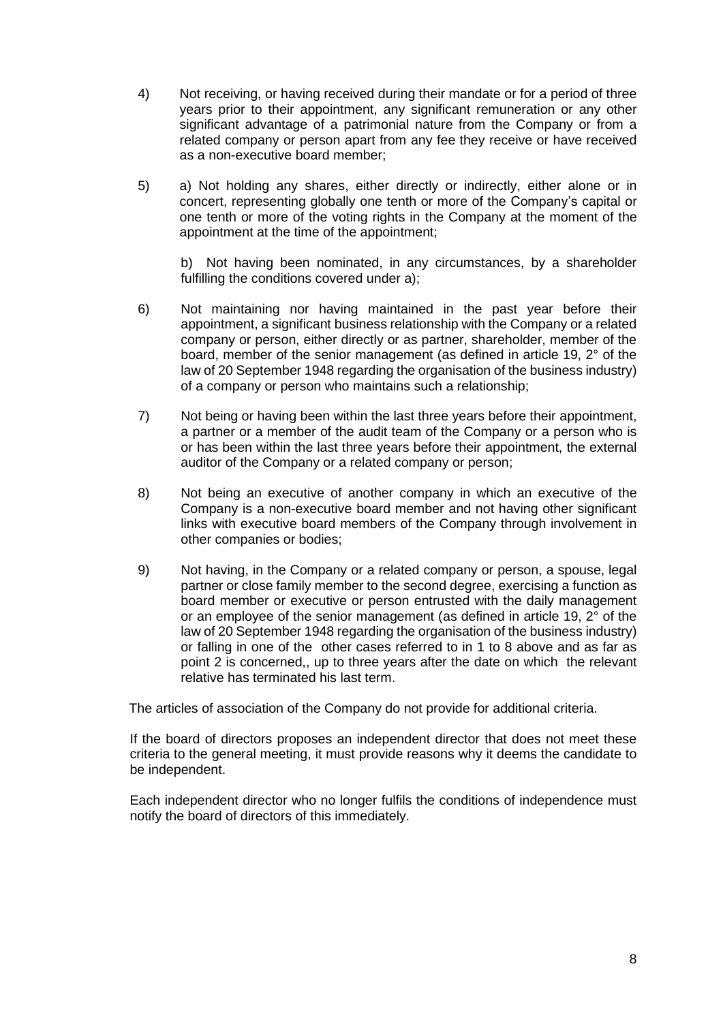- 4) Not receiving, or having received during their mandate or for a period of three years prior to their appointment, any significant remuneration or any other significant advantage of a patrimonial nature from the Company or from a related company or person apart from any fee they receive or have received as a non-executive board member;
- 5) a) Not holding any shares, either directly or indirectly, either alone or in concert, representing globally one tenth or more of the Company's capital or one tenth or more of the voting rights in the Company at the moment of the appointment at the time of the appointment;

b) Not having been nominated, in any circumstances, by a shareholder fulfilling the conditions covered under a);

- 6) Not maintaining nor having maintained in the past year before their appointment, a significant business relationship with the Company or a related company or person, either directly or as partner, shareholder, member of the board, member of the senior management (as defined in article 19, 2° of the law of 20 September 1948 regarding the organisation of the business industry) of a company or person who maintains such a relationship;
- 7) Not being or having been within the last three years before their appointment, a partner or a member of the audit team of the Company or a person who is or has been within the last three years before their appointment, the external auditor of the Company or a related company or person;
- 8) Not being an executive of another company in which an executive of the Company is a non-executive board member and not having other significant links with executive board members of the Company through involvement in other companies or bodies;
- 9) Not having, in the Company or a related company or person, a spouse, legal partner or close family member to the second degree, exercising a function as board member or executive or person entrusted with the daily management or an employee of the senior management (as defined in article 19,  $2^{\circ}$  of the law of 20 September 1948 regarding the organisation of the business industry) or falling in one of the other cases referred to in 1 to 8 above and as far as point 2 is concerned,, up to three years after the date on which the relevant relative has terminated his last term.

The articles of association of the Company do not provide for additional criteria.

If the board of directors proposes an independent director that does not meet these criteria to the general meeting, it must provide reasons why it deems the candidate to be independent.

Each independent director who no longer fulfils the conditions of independence must notify the board of directors of this immediately.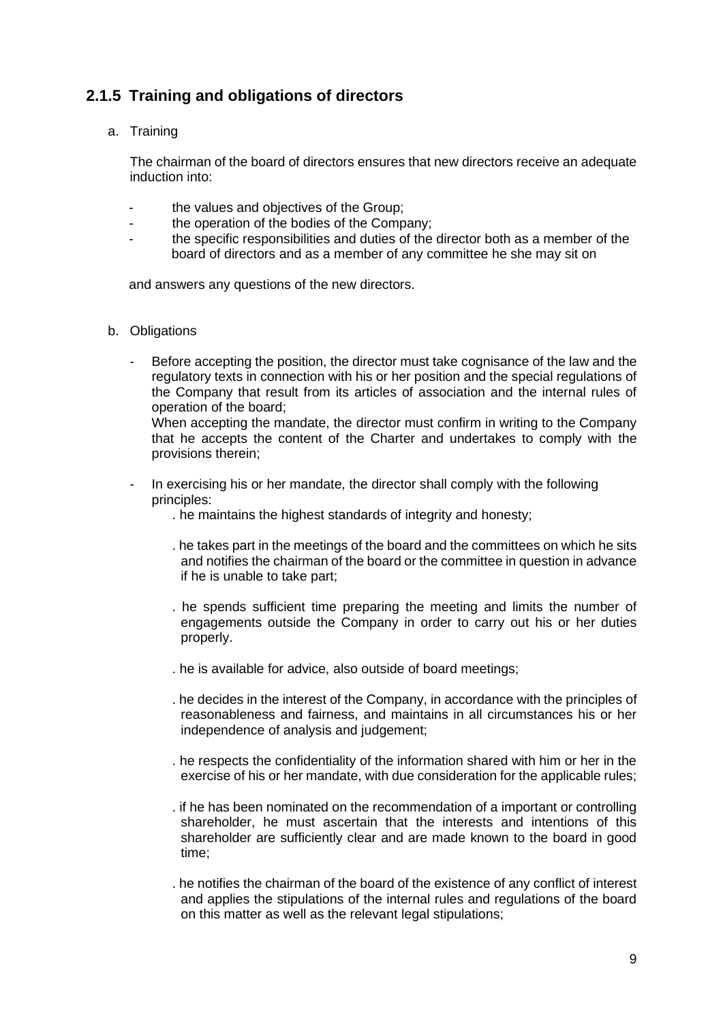## **2.1.5 Training and obligations of directors**

a. Training

The chairman of the board of directors ensures that new directors receive an adequate induction into:

- the values and objectives of the Group:
- the operation of the bodies of the Company;
- the specific responsibilities and duties of the director both as a member of the board of directors and as a member of any committee he she may sit on

and answers any questions of the new directors.

- b. Obligations
	- Before accepting the position, the director must take cognisance of the law and the regulatory texts in connection with his or her position and the special regulations of the Company that result from its articles of association and the internal rules of operation of the board;

When accepting the mandate, the director must confirm in writing to the Company that he accepts the content of the Charter and undertakes to comply with the provisions therein;

- In exercising his or her mandate, the director shall comply with the following principles:
	- . he maintains the highest standards of integrity and honesty;
	- . he takes part in the meetings of the board and the committees on which he sits and notifies the chairman of the board or the committee in question in advance if he is unable to take part;
	- . he spends sufficient time preparing the meeting and limits the number of engagements outside the Company in order to carry out his or her duties properly.
	- . he is available for advice, also outside of board meetings;
	- . he decides in the interest of the Company, in accordance with the principles of reasonableness and fairness, and maintains in all circumstances his or her independence of analysis and judgement;
	- . he respects the confidentiality of the information shared with him or her in the exercise of his or her mandate, with due consideration for the applicable rules;
	- . if he has been nominated on the recommendation of a important or controlling shareholder, he must ascertain that the interests and intentions of this shareholder are sufficiently clear and are made known to the board in good time;
	- . he notifies the chairman of the board of the existence of any conflict of interest and applies the stipulations of the internal rules and regulations of the board on this matter as well as the relevant legal stipulations;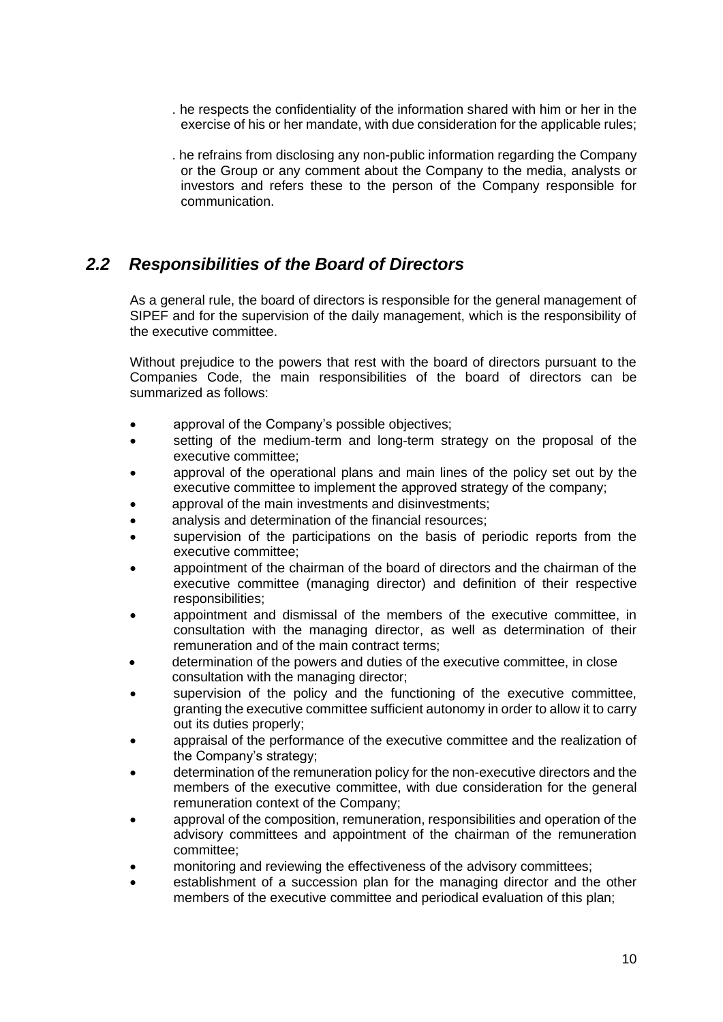- . he respects the confidentiality of the information shared with him or her in the exercise of his or her mandate, with due consideration for the applicable rules;
- . he refrains from disclosing any non-public information regarding the Company or the Group or any comment about the Company to the media, analysts or investors and refers these to the person of the Company responsible for communication.

### *2.2 Responsibilities of the Board of Directors*

As a general rule, the board of directors is responsible for the general management of SIPEF and for the supervision of the daily management, which is the responsibility of the executive committee.

Without prejudice to the powers that rest with the board of directors pursuant to the Companies Code, the main responsibilities of the board of directors can be summarized as follows:

- approval of the Company's possible objectives;
- setting of the medium-term and long-term strategy on the proposal of the executive committee;
- approval of the operational plans and main lines of the policy set out by the executive committee to implement the approved strategy of the company;
- approval of the main investments and disinvestments;
- analysis and determination of the financial resources;
- supervision of the participations on the basis of periodic reports from the executive committee;
- appointment of the chairman of the board of directors and the chairman of the executive committee (managing director) and definition of their respective responsibilities;
- appointment and dismissal of the members of the executive committee, in consultation with the managing director, as well as determination of their remuneration and of the main contract terms;
- determination of the powers and duties of the executive committee, in close consultation with the managing director;
- supervision of the policy and the functioning of the executive committee, granting the executive committee sufficient autonomy in order to allow it to carry out its duties properly;
- appraisal of the performance of the executive committee and the realization of the Company's strategy;
- determination of the remuneration policy for the non-executive directors and the members of the executive committee, with due consideration for the general remuneration context of the Company;
- approval of the composition, remuneration, responsibilities and operation of the advisory committees and appointment of the chairman of the remuneration committee;
- monitoring and reviewing the effectiveness of the advisory committees;
- establishment of a succession plan for the managing director and the other members of the executive committee and periodical evaluation of this plan;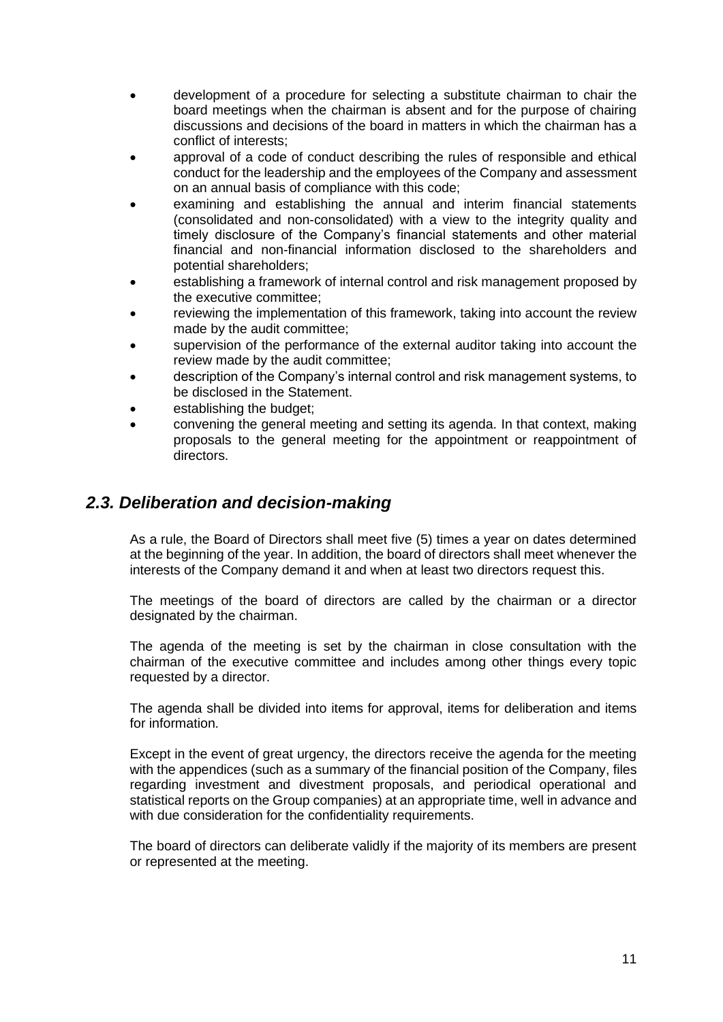- development of a procedure for selecting a substitute chairman to chair the board meetings when the chairman is absent and for the purpose of chairing discussions and decisions of the board in matters in which the chairman has a conflict of interests;
- approval of a code of conduct describing the rules of responsible and ethical conduct for the leadership and the employees of the Company and assessment on an annual basis of compliance with this code;
- examining and establishing the annual and interim financial statements (consolidated and non-consolidated) with a view to the integrity quality and timely disclosure of the Company's financial statements and other material financial and non-financial information disclosed to the shareholders and potential shareholders;
- establishing a framework of internal control and risk management proposed by the executive committee;
- reviewing the implementation of this framework, taking into account the review made by the audit committee;
- supervision of the performance of the external auditor taking into account the review made by the audit committee;
- description of the Company's internal control and risk management systems, to be disclosed in the Statement.
- establishing the budget:
- convening the general meeting and setting its agenda. In that context, making proposals to the general meeting for the appointment or reappointment of directors.

### *2.3. Deliberation and decision-making*

As a rule, the Board of Directors shall meet five (5) times a year on dates determined at the beginning of the year. In addition, the board of directors shall meet whenever the interests of the Company demand it and when at least two directors request this.

The meetings of the board of directors are called by the chairman or a director designated by the chairman.

The agenda of the meeting is set by the chairman in close consultation with the chairman of the executive committee and includes among other things every topic requested by a director.

The agenda shall be divided into items for approval, items for deliberation and items for information.

Except in the event of great urgency, the directors receive the agenda for the meeting with the appendices (such as a summary of the financial position of the Company, files regarding investment and divestment proposals, and periodical operational and statistical reports on the Group companies) at an appropriate time, well in advance and with due consideration for the confidentiality requirements.

The board of directors can deliberate validly if the majority of its members are present or represented at the meeting.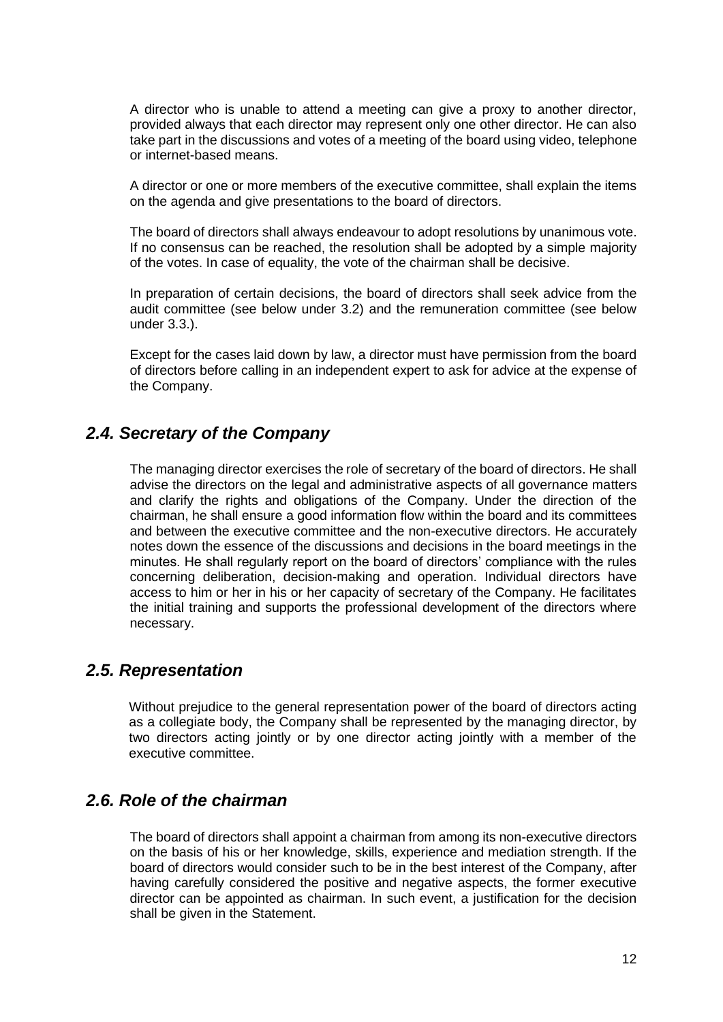A director who is unable to attend a meeting can give a proxy to another director, provided always that each director may represent only one other director. He can also take part in the discussions and votes of a meeting of the board using video, telephone or internet-based means.

A director or one or more members of the executive committee, shall explain the items on the agenda and give presentations to the board of directors.

The board of directors shall always endeavour to adopt resolutions by unanimous vote. If no consensus can be reached, the resolution shall be adopted by a simple majority of the votes. In case of equality, the vote of the chairman shall be decisive.

In preparation of certain decisions, the board of directors shall seek advice from the audit committee (see below under 3.2) and the remuneration committee (see below under 3.3.).

Except for the cases laid down by law, a director must have permission from the board of directors before calling in an independent expert to ask for advice at the expense of the Company.

### *2.4. Secretary of the Company*

The managing director exercises the role of secretary of the board of directors. He shall advise the directors on the legal and administrative aspects of all governance matters and clarify the rights and obligations of the Company. Under the direction of the chairman, he shall ensure a good information flow within the board and its committees and between the executive committee and the non-executive directors. He accurately notes down the essence of the discussions and decisions in the board meetings in the minutes. He shall regularly report on the board of directors' compliance with the rules concerning deliberation, decision-making and operation. Individual directors have access to him or her in his or her capacity of secretary of the Company. He facilitates the initial training and supports the professional development of the directors where necessary.

### *2.5. Representation*

Without prejudice to the general representation power of the board of directors acting as a collegiate body, the Company shall be represented by the managing director, by two directors acting jointly or by one director acting jointly with a member of the executive committee.

### *2.6. Role of the chairman*

The board of directors shall appoint a chairman from among its non-executive directors on the basis of his or her knowledge, skills, experience and mediation strength. If the board of directors would consider such to be in the best interest of the Company, after having carefully considered the positive and negative aspects, the former executive director can be appointed as chairman. In such event, a justification for the decision shall be given in the Statement.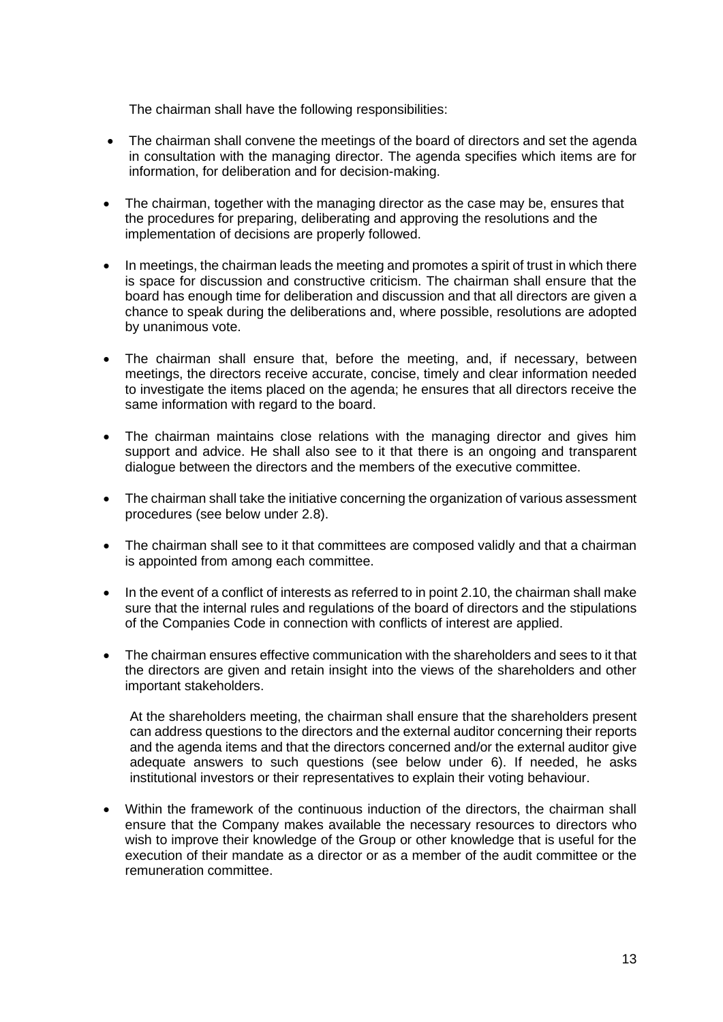The chairman shall have the following responsibilities:

- The chairman shall convene the meetings of the board of directors and set the agenda in consultation with the managing director. The agenda specifies which items are for information, for deliberation and for decision-making.
- The chairman, together with the managing director as the case may be, ensures that the procedures for preparing, deliberating and approving the resolutions and the implementation of decisions are properly followed.
- In meetings, the chairman leads the meeting and promotes a spirit of trust in which there is space for discussion and constructive criticism. The chairman shall ensure that the board has enough time for deliberation and discussion and that all directors are given a chance to speak during the deliberations and, where possible, resolutions are adopted by unanimous vote.
- The chairman shall ensure that, before the meeting, and, if necessary, between meetings, the directors receive accurate, concise, timely and clear information needed to investigate the items placed on the agenda; he ensures that all directors receive the same information with regard to the board.
- The chairman maintains close relations with the managing director and gives him support and advice. He shall also see to it that there is an ongoing and transparent dialogue between the directors and the members of the executive committee.
- The chairman shall take the initiative concerning the organization of various assessment procedures (see below under 2.8).
- The chairman shall see to it that committees are composed validly and that a chairman is appointed from among each committee.
- In the event of a conflict of interests as referred to in point 2.10, the chairman shall make sure that the internal rules and regulations of the board of directors and the stipulations of the Companies Code in connection with conflicts of interest are applied.
- The chairman ensures effective communication with the shareholders and sees to it that the directors are given and retain insight into the views of the shareholders and other important stakeholders.

At the shareholders meeting, the chairman shall ensure that the shareholders present can address questions to the directors and the external auditor concerning their reports and the agenda items and that the directors concerned and/or the external auditor give adequate answers to such questions (see below under 6). If needed, he asks institutional investors or their representatives to explain their voting behaviour.

• Within the framework of the continuous induction of the directors, the chairman shall ensure that the Company makes available the necessary resources to directors who wish to improve their knowledge of the Group or other knowledge that is useful for the execution of their mandate as a director or as a member of the audit committee or the remuneration committee.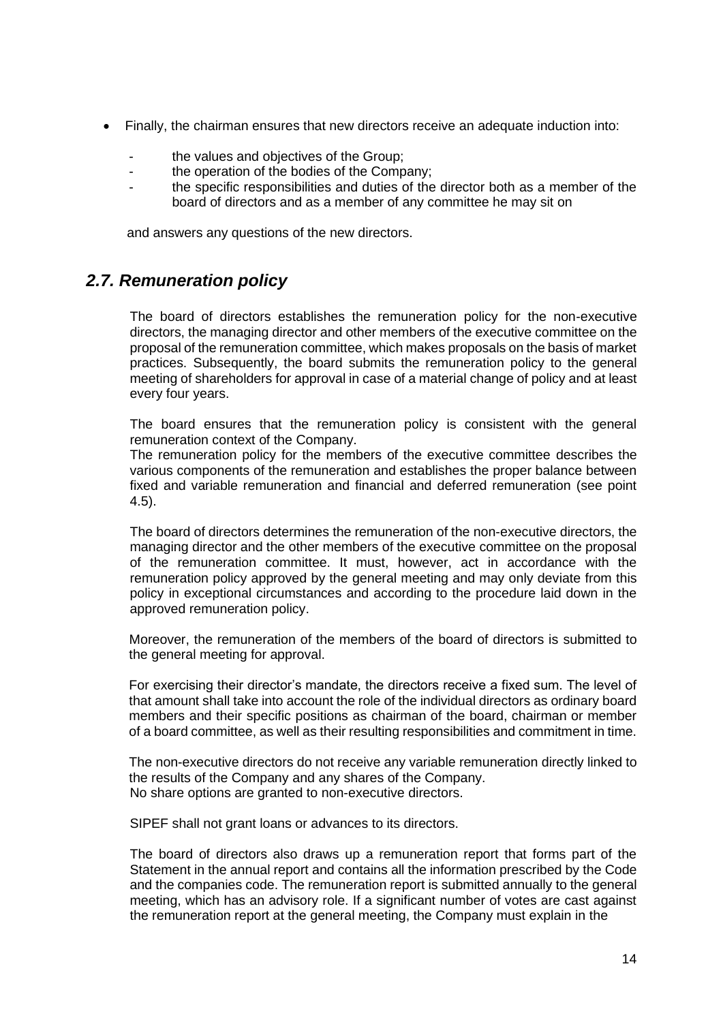- Finally, the chairman ensures that new directors receive an adequate induction into:
	- the values and objectives of the Group:
	- the operation of the bodies of the Company;
	- the specific responsibilities and duties of the director both as a member of the board of directors and as a member of any committee he may sit on

and answers any questions of the new directors.

### *2.7. Remuneration policy*

The board of directors establishes the remuneration policy for the non-executive directors, the managing director and other members of the executive committee on the proposal of the remuneration committee, which makes proposals on the basis of market practices. Subsequently, the board submits the remuneration policy to the general meeting of shareholders for approval in case of a material change of policy and at least every four years.

The board ensures that the remuneration policy is consistent with the general remuneration context of the Company.

The remuneration policy for the members of the executive committee describes the various components of the remuneration and establishes the proper balance between fixed and variable remuneration and financial and deferred remuneration (see point 4.5).

The board of directors determines the remuneration of the non-executive directors, the managing director and the other members of the executive committee on the proposal of the remuneration committee. It must, however, act in accordance with the remuneration policy approved by the general meeting and may only deviate from this policy in exceptional circumstances and according to the procedure laid down in the approved remuneration policy.

Moreover, the remuneration of the members of the board of directors is submitted to the general meeting for approval.

For exercising their director's mandate, the directors receive a fixed sum. The level of that amount shall take into account the role of the individual directors as ordinary board members and their specific positions as chairman of the board, chairman or member of a board committee, as well as their resulting responsibilities and commitment in time.

The non-executive directors do not receive any variable remuneration directly linked to the results of the Company and any shares of the Company. No share options are granted to non-executive directors.

SIPEF shall not grant loans or advances to its directors.

The board of directors also draws up a remuneration report that forms part of the Statement in the annual report and contains all the information prescribed by the Code and the companies code. The remuneration report is submitted annually to the general meeting, which has an advisory role. If a significant number of votes are cast against the remuneration report at the general meeting, the Company must explain in the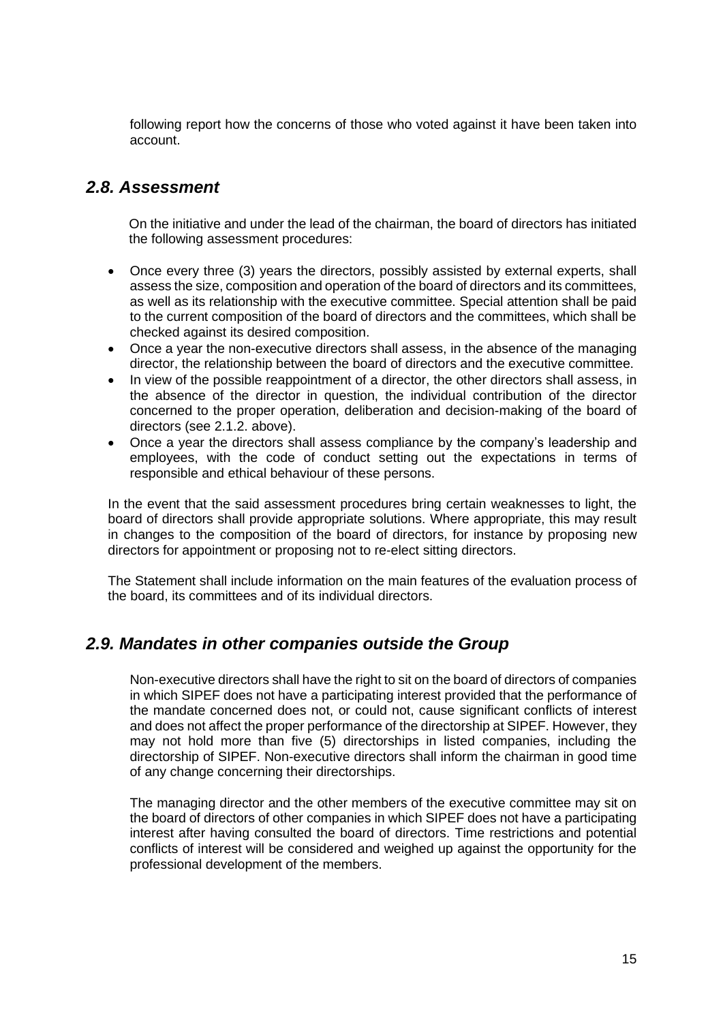following report how the concerns of those who voted against it have been taken into account.

### *2.8. Assessment*

On the initiative and under the lead of the chairman, the board of directors has initiated the following assessment procedures:

- Once every three (3) years the directors, possibly assisted by external experts, shall assess the size, composition and operation of the board of directors and its committees, as well as its relationship with the executive committee. Special attention shall be paid to the current composition of the board of directors and the committees, which shall be checked against its desired composition.
- Once a year the non-executive directors shall assess, in the absence of the managing director, the relationship between the board of directors and the executive committee.
- In view of the possible reappointment of a director, the other directors shall assess, in the absence of the director in question, the individual contribution of the director concerned to the proper operation, deliberation and decision-making of the board of directors (see 2.1.2. above).
- Once a year the directors shall assess compliance by the company's leadership and employees, with the code of conduct setting out the expectations in terms of responsible and ethical behaviour of these persons.

In the event that the said assessment procedures bring certain weaknesses to light, the board of directors shall provide appropriate solutions. Where appropriate, this may result in changes to the composition of the board of directors, for instance by proposing new directors for appointment or proposing not to re-elect sitting directors.

The Statement shall include information on the main features of the evaluation process of the board, its committees and of its individual directors.

### *2.9. Mandates in other companies outside the Group*

Non-executive directors shall have the right to sit on the board of directors of companies in which SIPEF does not have a participating interest provided that the performance of the mandate concerned does not, or could not, cause significant conflicts of interest and does not affect the proper performance of the directorship at SIPEF. However, they may not hold more than five (5) directorships in listed companies, including the directorship of SIPEF. Non-executive directors shall inform the chairman in good time of any change concerning their directorships.

The managing director and the other members of the executive committee may sit on the board of directors of other companies in which SIPEF does not have a participating interest after having consulted the board of directors. Time restrictions and potential conflicts of interest will be considered and weighed up against the opportunity for the professional development of the members.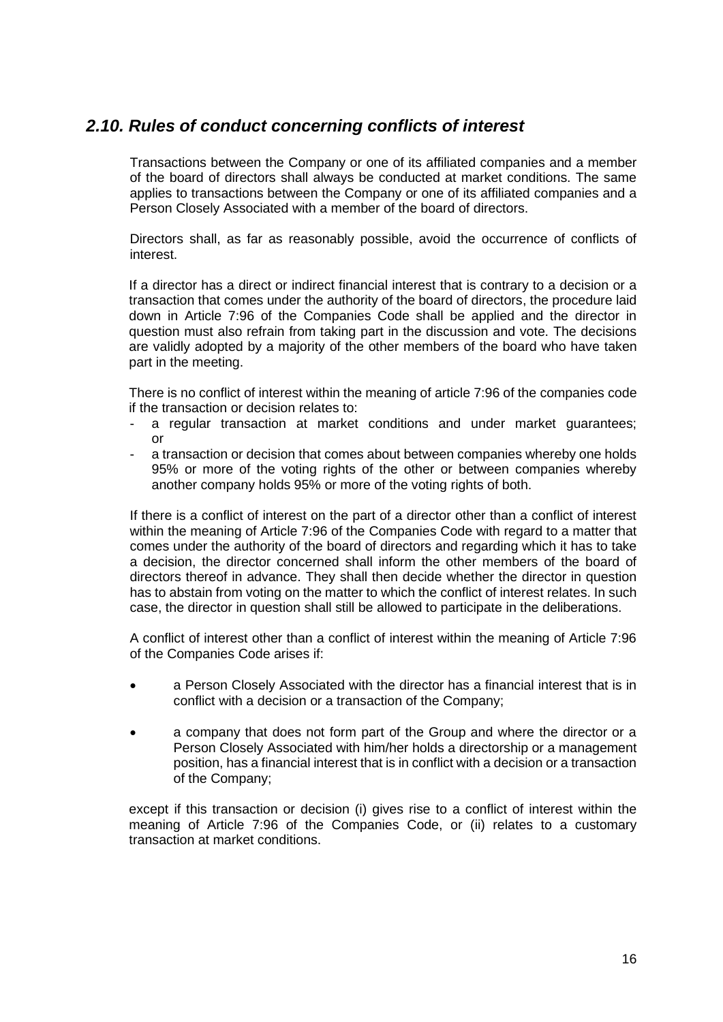### *2.10. Rules of conduct concerning conflicts of interest*

Transactions between the Company or one of its affiliated companies and a member of the board of directors shall always be conducted at market conditions. The same applies to transactions between the Company or one of its affiliated companies and a Person Closely Associated with a member of the board of directors.

Directors shall, as far as reasonably possible, avoid the occurrence of conflicts of interest.

If a director has a direct or indirect financial interest that is contrary to a decision or a transaction that comes under the authority of the board of directors, the procedure laid down in Article 7:96 of the Companies Code shall be applied and the director in question must also refrain from taking part in the discussion and vote. The decisions are validly adopted by a majority of the other members of the board who have taken part in the meeting.

There is no conflict of interest within the meaning of article 7:96 of the companies code if the transaction or decision relates to:

- a regular transaction at market conditions and under market guarantees; or
- a transaction or decision that comes about between companies whereby one holds 95% or more of the voting rights of the other or between companies whereby another company holds 95% or more of the voting rights of both.

If there is a conflict of interest on the part of a director other than a conflict of interest within the meaning of Article 7:96 of the Companies Code with regard to a matter that comes under the authority of the board of directors and regarding which it has to take a decision, the director concerned shall inform the other members of the board of directors thereof in advance. They shall then decide whether the director in question has to abstain from voting on the matter to which the conflict of interest relates. In such case, the director in question shall still be allowed to participate in the deliberations.

A conflict of interest other than a conflict of interest within the meaning of Article 7:96 of the Companies Code arises if:

- a Person Closely Associated with the director has a financial interest that is in conflict with a decision or a transaction of the Company;
- a company that does not form part of the Group and where the director or a Person Closely Associated with him/her holds a directorship or a management position, has a financial interest that is in conflict with a decision or a transaction of the Company;

except if this transaction or decision (i) gives rise to a conflict of interest within the meaning of Article 7:96 of the Companies Code, or (ii) relates to a customary transaction at market conditions.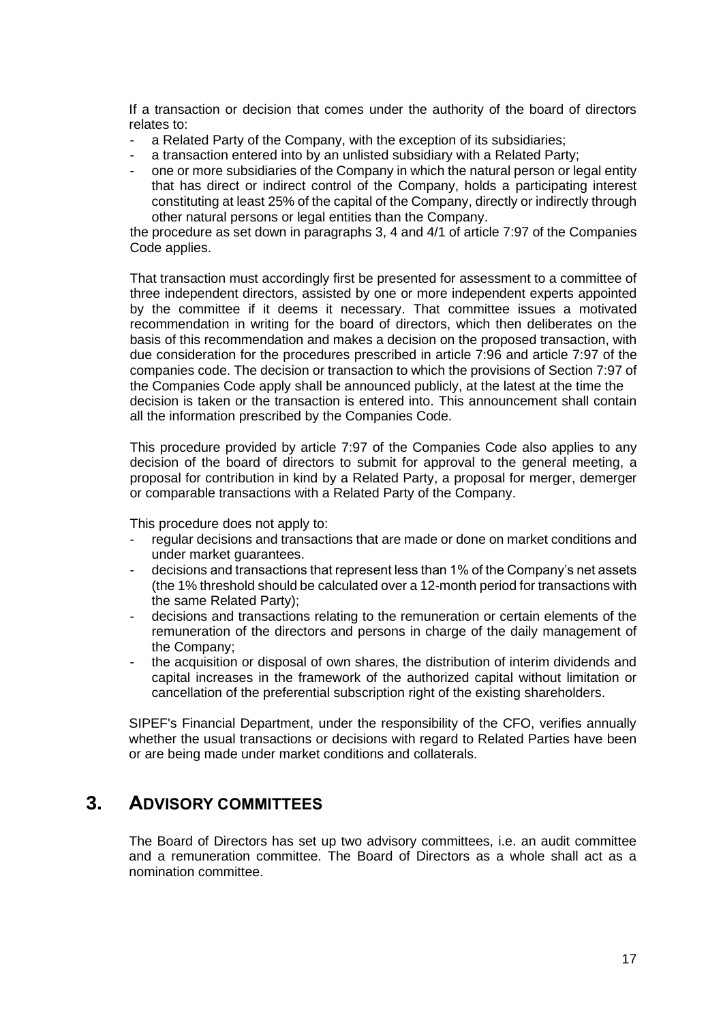If a transaction or decision that comes under the authority of the board of directors relates to:

- a Related Party of the Company, with the exception of its subsidiaries;
- a transaction entered into by an unlisted subsidiary with a Related Party;
- one or more subsidiaries of the Company in which the natural person or legal entity that has direct or indirect control of the Company, holds a participating interest constituting at least 25% of the capital of the Company, directly or indirectly through other natural persons or legal entities than the Company.

the procedure as set down in paragraphs 3, 4 and 4/1 of article 7:97 of the Companies Code applies.

That transaction must accordingly first be presented for assessment to a committee of three independent directors, assisted by one or more independent experts appointed by the committee if it deems it necessary. That committee issues a motivated recommendation in writing for the board of directors, which then deliberates on the basis of this recommendation and makes a decision on the proposed transaction, with due consideration for the procedures prescribed in article 7:96 and article 7:97 of the companies code. The decision or transaction to which the provisions of Section 7:97 of the Companies Code apply shall be announced publicly, at the latest at the time the decision is taken or the transaction is entered into. This announcement shall contain all the information prescribed by the Companies Code.

This procedure provided by article 7:97 of the Companies Code also applies to any decision of the board of directors to submit for approval to the general meeting, a proposal for contribution in kind by a Related Party, a proposal for merger, demerger or comparable transactions with a Related Party of the Company.

This procedure does not apply to:

- regular decisions and transactions that are made or done on market conditions and under market guarantees.
- decisions and transactions that represent less than 1% of the Company's net assets (the 1% threshold should be calculated over a 12-month period for transactions with the same Related Party);
- decisions and transactions relating to the remuneration or certain elements of the remuneration of the directors and persons in charge of the daily management of the Company;
- the acquisition or disposal of own shares, the distribution of interim dividends and capital increases in the framework of the authorized capital without limitation or cancellation of the preferential subscription right of the existing shareholders.

SIPEF's Financial Department, under the responsibility of the CFO, verifies annually whether the usual transactions or decisions with regard to Related Parties have been or are being made under market conditions and collaterals.

## **3. ADVISORY COMMITTEES**

The Board of Directors has set up two advisory committees, i.e. an audit committee and a remuneration committee. The Board of Directors as a whole shall act as a nomination committee.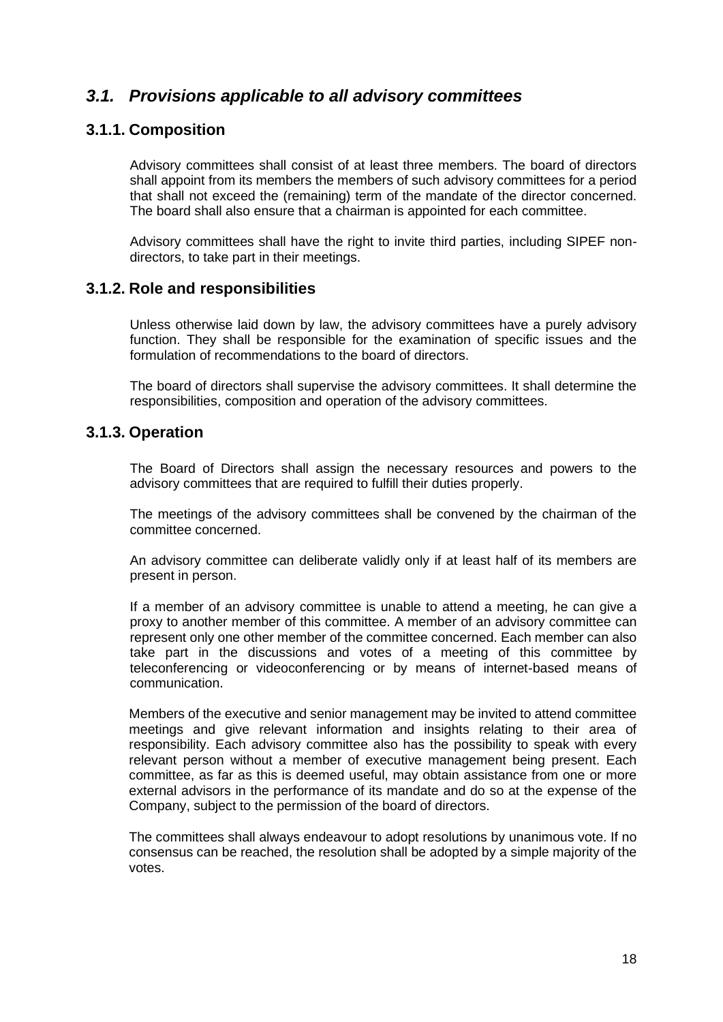## *3.1. Provisions applicable to all advisory committees*

#### **3.1.1. Composition**

Advisory committees shall consist of at least three members. The board of directors shall appoint from its members the members of such advisory committees for a period that shall not exceed the (remaining) term of the mandate of the director concerned. The board shall also ensure that a chairman is appointed for each committee.

Advisory committees shall have the right to invite third parties, including SIPEF nondirectors, to take part in their meetings.

#### **3.1.2. Role and responsibilities**

Unless otherwise laid down by law, the advisory committees have a purely advisory function. They shall be responsible for the examination of specific issues and the formulation of recommendations to the board of directors.

The board of directors shall supervise the advisory committees. It shall determine the responsibilities, composition and operation of the advisory committees.

#### **3.1.3. Operation**

The Board of Directors shall assign the necessary resources and powers to the advisory committees that are required to fulfill their duties properly.

The meetings of the advisory committees shall be convened by the chairman of the committee concerned.

An advisory committee can deliberate validly only if at least half of its members are present in person.

If a member of an advisory committee is unable to attend a meeting, he can give a proxy to another member of this committee. A member of an advisory committee can represent only one other member of the committee concerned. Each member can also take part in the discussions and votes of a meeting of this committee by teleconferencing or videoconferencing or by means of internet-based means of communication.

Members of the executive and senior management may be invited to attend committee meetings and give relevant information and insights relating to their area of responsibility. Each advisory committee also has the possibility to speak with every relevant person without a member of executive management being present. Each committee, as far as this is deemed useful, may obtain assistance from one or more external advisors in the performance of its mandate and do so at the expense of the Company, subject to the permission of the board of directors.

The committees shall always endeavour to adopt resolutions by unanimous vote. If no consensus can be reached, the resolution shall be adopted by a simple majority of the votes.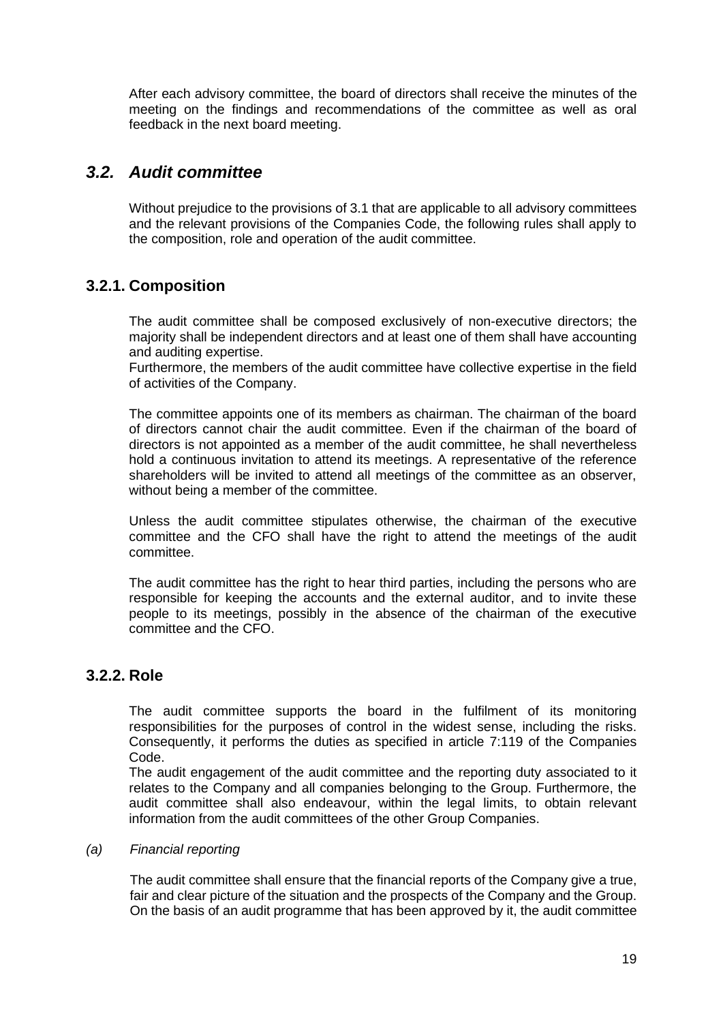After each advisory committee, the board of directors shall receive the minutes of the meeting on the findings and recommendations of the committee as well as oral feedback in the next board meeting.

## *3.2. Audit committee*

Without prejudice to the provisions of 3.1 that are applicable to all advisory committees and the relevant provisions of the Companies Code, the following rules shall apply to the composition, role and operation of the audit committee.

### **3.2.1. Composition**

The audit committee shall be composed exclusively of non-executive directors; the majority shall be independent directors and at least one of them shall have accounting and auditing expertise.

Furthermore, the members of the audit committee have collective expertise in the field of activities of the Company.

The committee appoints one of its members as chairman. The chairman of the board of directors cannot chair the audit committee. Even if the chairman of the board of directors is not appointed as a member of the audit committee, he shall nevertheless hold a continuous invitation to attend its meetings. A representative of the reference shareholders will be invited to attend all meetings of the committee as an observer, without being a member of the committee.

Unless the audit committee stipulates otherwise, the chairman of the executive committee and the CFO shall have the right to attend the meetings of the audit committee.

The audit committee has the right to hear third parties, including the persons who are responsible for keeping the accounts and the external auditor, and to invite these people to its meetings, possibly in the absence of the chairman of the executive committee and the CFO.

### **3.2.2. Role**

The audit committee supports the board in the fulfilment of its monitoring responsibilities for the purposes of control in the widest sense, including the risks. Consequently, it performs the duties as specified in article 7:119 of the Companies Code.

The audit engagement of the audit committee and the reporting duty associated to it relates to the Company and all companies belonging to the Group. Furthermore, the audit committee shall also endeavour, within the legal limits, to obtain relevant information from the audit committees of the other Group Companies.

#### *(a) Financial reporting*

The audit committee shall ensure that the financial reports of the Company give a true, fair and clear picture of the situation and the prospects of the Company and the Group. On the basis of an audit programme that has been approved by it, the audit committee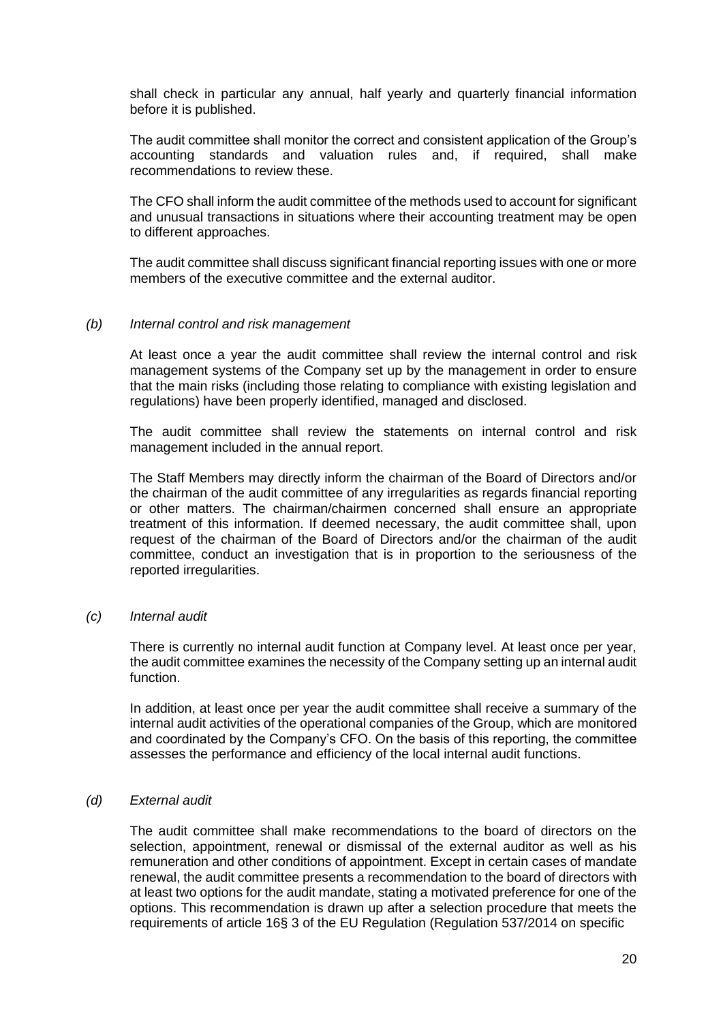shall check in particular any annual, half yearly and quarterly financial information before it is published.

The audit committee shall monitor the correct and consistent application of the Group's accounting standards and valuation rules and, if required, shall make recommendations to review these.

The CFO shall inform the audit committee of the methods used to account for significant and unusual transactions in situations where their accounting treatment may be open to different approaches.

The audit committee shall discuss significant financial reporting issues with one or more members of the executive committee and the external auditor.

#### *(b) Internal control and risk management*

At least once a year the audit committee shall review the internal control and risk management systems of the Company set up by the management in order to ensure that the main risks (including those relating to compliance with existing legislation and regulations) have been properly identified, managed and disclosed.

The audit committee shall review the statements on internal control and risk management included in the annual report.

The Staff Members may directly inform the chairman of the Board of Directors and/or the chairman of the audit committee of any irregularities as regards financial reporting or other matters. The chairman/chairmen concerned shall ensure an appropriate treatment of this information. If deemed necessary, the audit committee shall, upon request of the chairman of the Board of Directors and/or the chairman of the audit committee, conduct an investigation that is in proportion to the seriousness of the reported irregularities.

#### *(c) Internal audit*

There is currently no internal audit function at Company level. At least once per year, the audit committee examines the necessity of the Company setting up an internal audit function.

In addition, at least once per year the audit committee shall receive a summary of the internal audit activities of the operational companies of the Group, which are monitored and coordinated by the Company's CFO. On the basis of this reporting, the committee assesses the performance and efficiency of the local internal audit functions.

#### *(d) External audit*

The audit committee shall make recommendations to the board of directors on the selection, appointment, renewal or dismissal of the external auditor as well as his remuneration and other conditions of appointment. Except in certain cases of mandate renewal, the audit committee presents a recommendation to the board of directors with at least two options for the audit mandate, stating a motivated preference for one of the options. This recommendation is drawn up after a selection procedure that meets the requirements of article 16§ 3 of the EU Regulation (Regulation 537/2014 on specific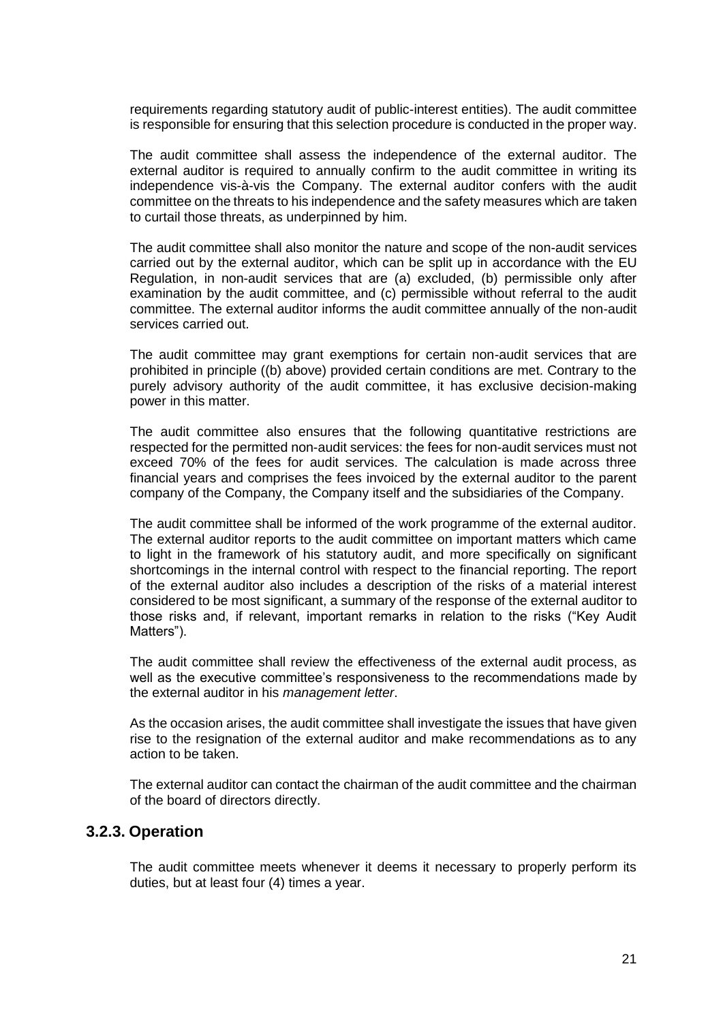requirements regarding statutory audit of public-interest entities). The audit committee is responsible for ensuring that this selection procedure is conducted in the proper way.

The audit committee shall assess the independence of the external auditor. The external auditor is required to annually confirm to the audit committee in writing its independence vis-à-vis the Company. The external auditor confers with the audit committee on the threats to his independence and the safety measures which are taken to curtail those threats, as underpinned by him.

The audit committee shall also monitor the nature and scope of the non-audit services carried out by the external auditor, which can be split up in accordance with the EU Regulation, in non-audit services that are (a) excluded, (b) permissible only after examination by the audit committee, and (c) permissible without referral to the audit committee. The external auditor informs the audit committee annually of the non-audit services carried out.

The audit committee may grant exemptions for certain non-audit services that are prohibited in principle ((b) above) provided certain conditions are met. Contrary to the purely advisory authority of the audit committee, it has exclusive decision-making power in this matter.

The audit committee also ensures that the following quantitative restrictions are respected for the permitted non-audit services: the fees for non-audit services must not exceed 70% of the fees for audit services. The calculation is made across three financial years and comprises the fees invoiced by the external auditor to the parent company of the Company, the Company itself and the subsidiaries of the Company.

The audit committee shall be informed of the work programme of the external auditor. The external auditor reports to the audit committee on important matters which came to light in the framework of his statutory audit, and more specifically on significant shortcomings in the internal control with respect to the financial reporting. The report of the external auditor also includes a description of the risks of a material interest considered to be most significant, a summary of the response of the external auditor to those risks and, if relevant, important remarks in relation to the risks ("Key Audit Matters").

The audit committee shall review the effectiveness of the external audit process, as well as the executive committee's responsiveness to the recommendations made by the external auditor in his *management letter*.

As the occasion arises, the audit committee shall investigate the issues that have given rise to the resignation of the external auditor and make recommendations as to any action to be taken.

The external auditor can contact the chairman of the audit committee and the chairman of the board of directors directly.

#### **3.2.3. Operation**

The audit committee meets whenever it deems it necessary to properly perform its duties, but at least four (4) times a year.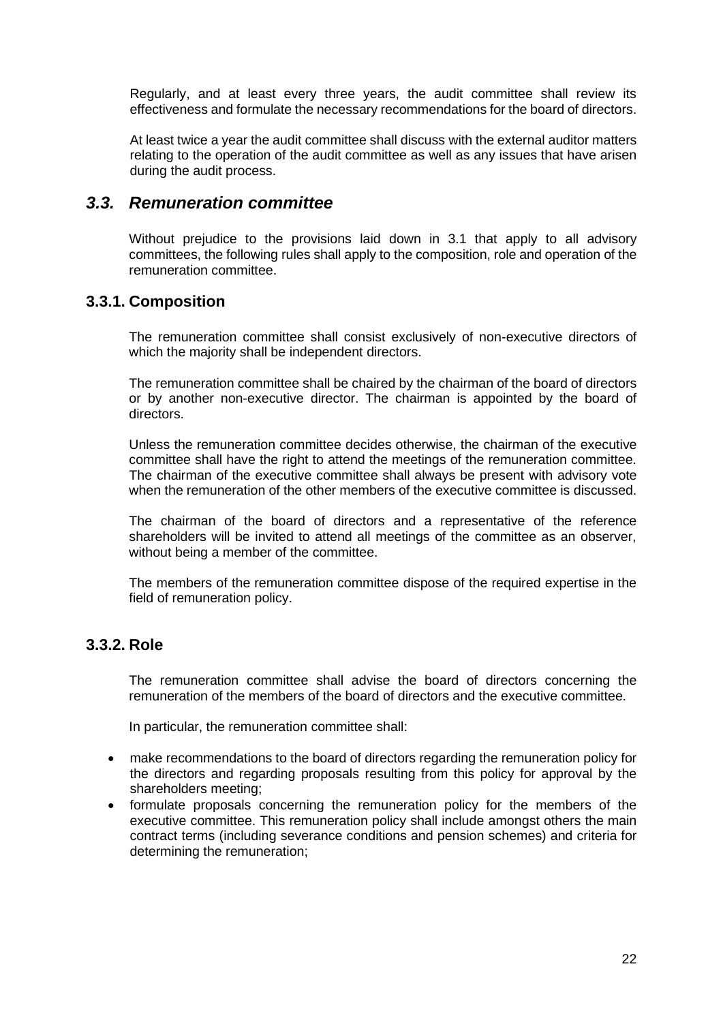Regularly, and at least every three years, the audit committee shall review its effectiveness and formulate the necessary recommendations for the board of directors.

At least twice a year the audit committee shall discuss with the external auditor matters relating to the operation of the audit committee as well as any issues that have arisen during the audit process.

### *3.3. Remuneration committee*

Without prejudice to the provisions laid down in 3.1 that apply to all advisory committees, the following rules shall apply to the composition, role and operation of the remuneration committee.

### **3.3.1. Composition**

The remuneration committee shall consist exclusively of non-executive directors of which the majority shall be independent directors.

The remuneration committee shall be chaired by the chairman of the board of directors or by another non-executive director. The chairman is appointed by the board of directors.

Unless the remuneration committee decides otherwise, the chairman of the executive committee shall have the right to attend the meetings of the remuneration committee. The chairman of the executive committee shall always be present with advisory vote when the remuneration of the other members of the executive committee is discussed.

The chairman of the board of directors and a representative of the reference shareholders will be invited to attend all meetings of the committee as an observer, without being a member of the committee.

The members of the remuneration committee dispose of the required expertise in the field of remuneration policy.

### **3.3.2. Role**

The remuneration committee shall advise the board of directors concerning the remuneration of the members of the board of directors and the executive committee.

In particular, the remuneration committee shall:

- make recommendations to the board of directors regarding the remuneration policy for the directors and regarding proposals resulting from this policy for approval by the shareholders meeting;
- formulate proposals concerning the remuneration policy for the members of the executive committee. This remuneration policy shall include amongst others the main contract terms (including severance conditions and pension schemes) and criteria for determining the remuneration;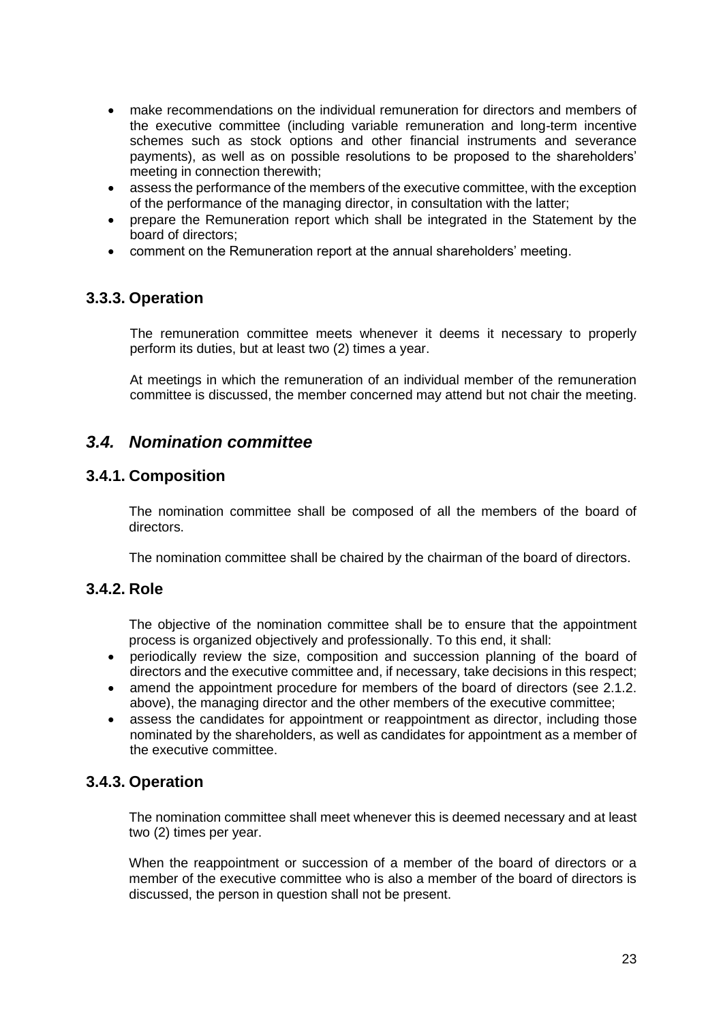- make recommendations on the individual remuneration for directors and members of the executive committee (including variable remuneration and long-term incentive schemes such as stock options and other financial instruments and severance payments), as well as on possible resolutions to be proposed to the shareholders' meeting in connection therewith;
- assess the performance of the members of the executive committee, with the exception of the performance of the managing director, in consultation with the latter;
- prepare the Remuneration report which shall be integrated in the Statement by the board of directors;
- comment on the Remuneration report at the annual shareholders' meeting.

### **3.3.3. Operation**

The remuneration committee meets whenever it deems it necessary to properly perform its duties, but at least two (2) times a year.

At meetings in which the remuneration of an individual member of the remuneration committee is discussed, the member concerned may attend but not chair the meeting.

### *3.4. Nomination committee*

#### **3.4.1. Composition**

The nomination committee shall be composed of all the members of the board of directors.

The nomination committee shall be chaired by the chairman of the board of directors.

#### **3.4.2. Role**

The objective of the nomination committee shall be to ensure that the appointment process is organized objectively and professionally. To this end, it shall:

- periodically review the size, composition and succession planning of the board of directors and the executive committee and, if necessary, take decisions in this respect;
- amend the appointment procedure for members of the board of directors (see 2.1.2. above), the managing director and the other members of the executive committee;
- assess the candidates for appointment or reappointment as director, including those nominated by the shareholders, as well as candidates for appointment as a member of the executive committee.

### **3.4.3. Operation**

The nomination committee shall meet whenever this is deemed necessary and at least two (2) times per year.

When the reappointment or succession of a member of the board of directors or a member of the executive committee who is also a member of the board of directors is discussed, the person in question shall not be present.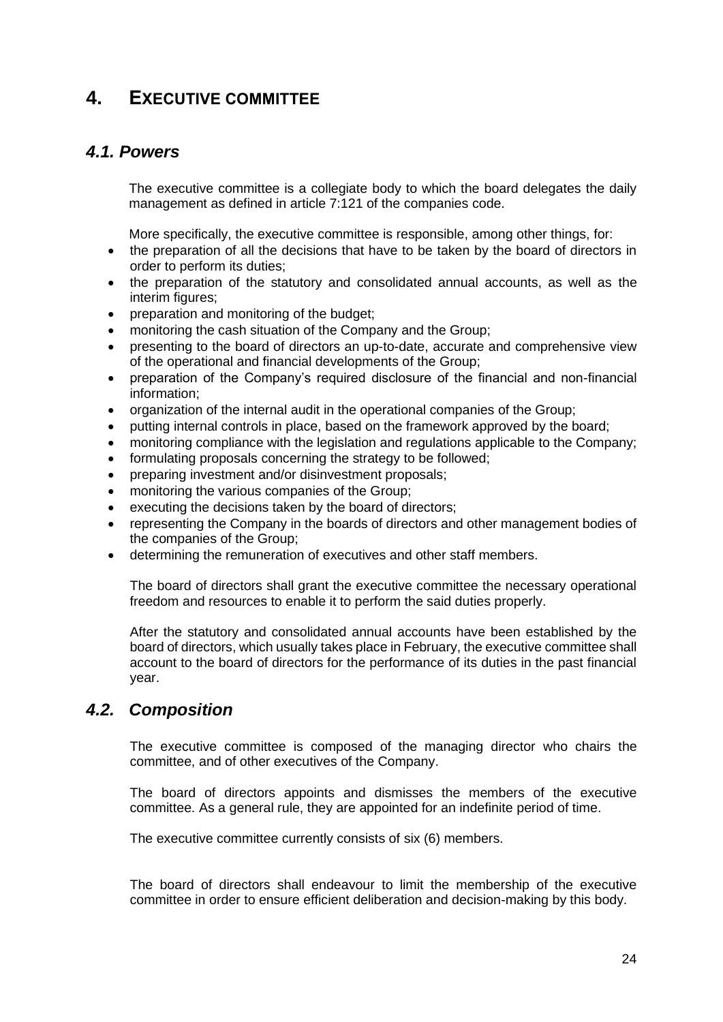## **4. EXECUTIVE COMMITTEE**

### *4.1. Powers*

The executive committee is a collegiate body to which the board delegates the daily management as defined in article 7:121 of the companies code.

More specifically, the executive committee is responsible, among other things, for:

- the preparation of all the decisions that have to be taken by the board of directors in order to perform its duties;
- the preparation of the statutory and consolidated annual accounts, as well as the interim figures;
- preparation and monitoring of the budget;
- monitoring the cash situation of the Company and the Group;
- presenting to the board of directors an up-to-date, accurate and comprehensive view of the operational and financial developments of the Group;
- preparation of the Company's required disclosure of the financial and non-financial information;
- organization of the internal audit in the operational companies of the Group;
- putting internal controls in place, based on the framework approved by the board;
- monitoring compliance with the legislation and regulations applicable to the Company;
- formulating proposals concerning the strategy to be followed;
- preparing investment and/or disinvestment proposals;
- monitoring the various companies of the Group;
- executing the decisions taken by the board of directors;
- representing the Company in the boards of directors and other management bodies of the companies of the Group;
- determining the remuneration of executives and other staff members.

The board of directors shall grant the executive committee the necessary operational freedom and resources to enable it to perform the said duties properly.

After the statutory and consolidated annual accounts have been established by the board of directors, which usually takes place in February, the executive committee shall account to the board of directors for the performance of its duties in the past financial year.

### *4.2. Composition*

The executive committee is composed of the managing director who chairs the committee, and of other executives of the Company.

The board of directors appoints and dismisses the members of the executive committee. As a general rule, they are appointed for an indefinite period of time.

The executive committee currently consists of six (6) members.

The board of directors shall endeavour to limit the membership of the executive committee in order to ensure efficient deliberation and decision-making by this body.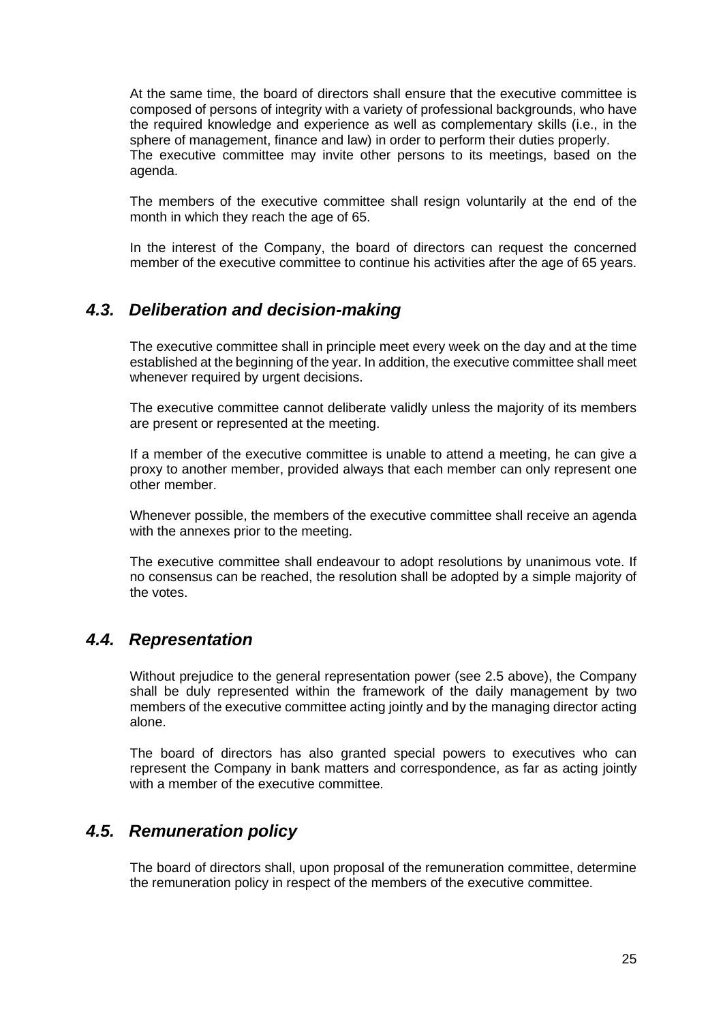At the same time, the board of directors shall ensure that the executive committee is composed of persons of integrity with a variety of professional backgrounds, who have the required knowledge and experience as well as complementary skills (i.e., in the sphere of management, finance and law) in order to perform their duties properly. The executive committee may invite other persons to its meetings, based on the agenda.

The members of the executive committee shall resign voluntarily at the end of the month in which they reach the age of 65.

In the interest of the Company, the board of directors can request the concerned member of the executive committee to continue his activities after the age of 65 years.

### *4.3. Deliberation and decision-making*

The executive committee shall in principle meet every week on the day and at the time established at the beginning of the year. In addition, the executive committee shall meet whenever required by urgent decisions.

The executive committee cannot deliberate validly unless the majority of its members are present or represented at the meeting.

If a member of the executive committee is unable to attend a meeting, he can give a proxy to another member, provided always that each member can only represent one other member.

Whenever possible, the members of the executive committee shall receive an agenda with the annexes prior to the meeting.

The executive committee shall endeavour to adopt resolutions by unanimous vote. If no consensus can be reached, the resolution shall be adopted by a simple majority of the votes.

### *4.4. Representation*

Without prejudice to the general representation power (see 2.5 above), the Company shall be duly represented within the framework of the daily management by two members of the executive committee acting jointly and by the managing director acting alone.

The board of directors has also granted special powers to executives who can represent the Company in bank matters and correspondence, as far as acting jointly with a member of the executive committee.

### *4.5. Remuneration policy*

The board of directors shall, upon proposal of the remuneration committee, determine the remuneration policy in respect of the members of the executive committee.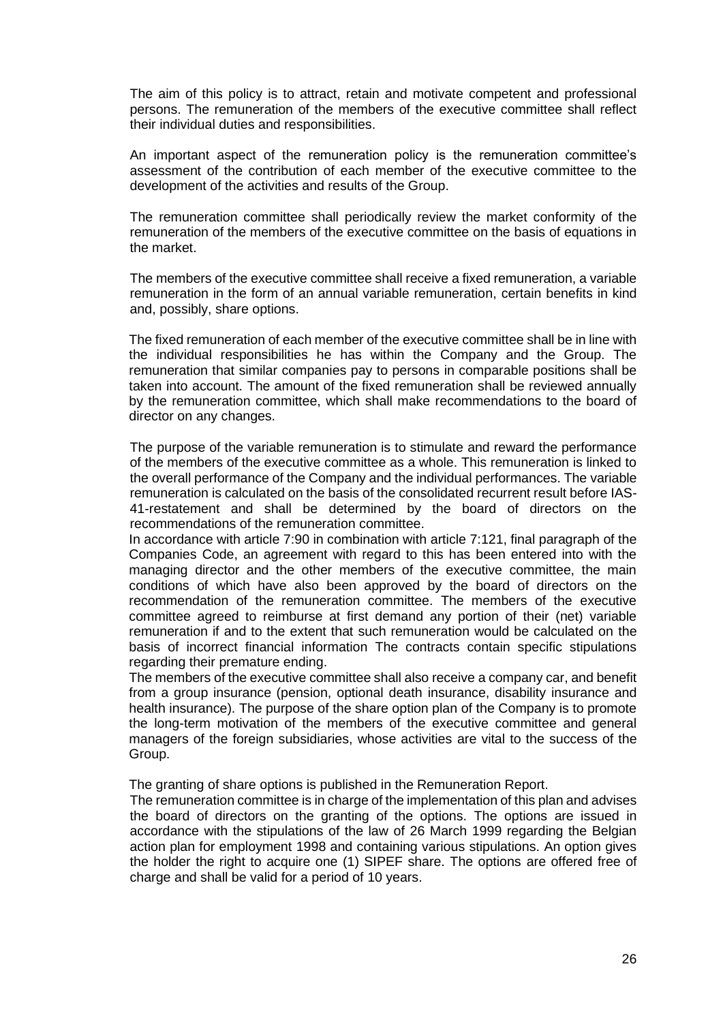The aim of this policy is to attract, retain and motivate competent and professional persons. The remuneration of the members of the executive committee shall reflect their individual duties and responsibilities.

An important aspect of the remuneration policy is the remuneration committee's assessment of the contribution of each member of the executive committee to the development of the activities and results of the Group.

The remuneration committee shall periodically review the market conformity of the remuneration of the members of the executive committee on the basis of equations in the market.

The members of the executive committee shall receive a fixed remuneration, a variable remuneration in the form of an annual variable remuneration, certain benefits in kind and, possibly, share options.

The fixed remuneration of each member of the executive committee shall be in line with the individual responsibilities he has within the Company and the Group. The remuneration that similar companies pay to persons in comparable positions shall be taken into account. The amount of the fixed remuneration shall be reviewed annually by the remuneration committee, which shall make recommendations to the board of director on any changes.

The purpose of the variable remuneration is to stimulate and reward the performance of the members of the executive committee as a whole. This remuneration is linked to the overall performance of the Company and the individual performances. The variable remuneration is calculated on the basis of the consolidated recurrent result before IAS-41-restatement and shall be determined by the board of directors on the recommendations of the remuneration committee.

In accordance with article 7:90 in combination with article 7:121, final paragraph of the Companies Code, an agreement with regard to this has been entered into with the managing director and the other members of the executive committee, the main conditions of which have also been approved by the board of directors on the recommendation of the remuneration committee. The members of the executive committee agreed to reimburse at first demand any portion of their (net) variable remuneration if and to the extent that such remuneration would be calculated on the basis of incorrect financial information The contracts contain specific stipulations regarding their premature ending.

The members of the executive committee shall also receive a company car, and benefit from a group insurance (pension, optional death insurance, disability insurance and health insurance). The purpose of the share option plan of the Company is to promote the long-term motivation of the members of the executive committee and general managers of the foreign subsidiaries, whose activities are vital to the success of the Group.

The granting of share options is published in the Remuneration Report.

The remuneration committee is in charge of the implementation of this plan and advises the board of directors on the granting of the options. The options are issued in accordance with the stipulations of the law of 26 March 1999 regarding the Belgian action plan for employment 1998 and containing various stipulations. An option gives the holder the right to acquire one (1) SIPEF share. The options are offered free of charge and shall be valid for a period of 10 years.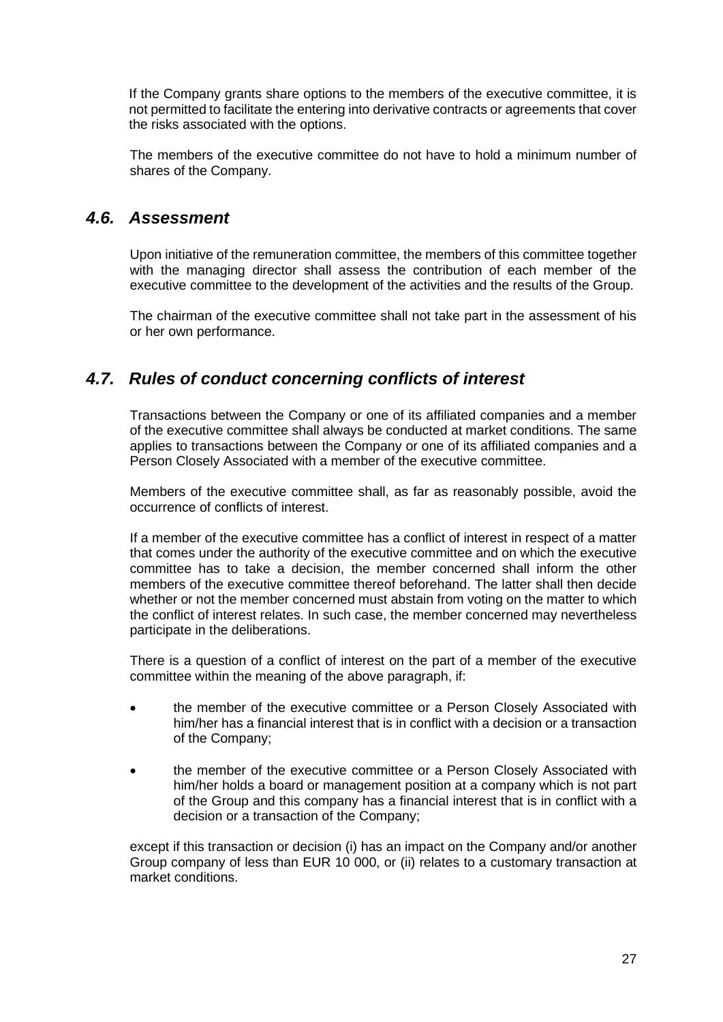If the Company grants share options to the members of the executive committee, it is not permitted to facilitate the entering into derivative contracts or agreements that cover the risks associated with the options.

The members of the executive committee do not have to hold a minimum number of shares of the Company.

### *4.6. Assessment*

Upon initiative of the remuneration committee, the members of this committee together with the managing director shall assess the contribution of each member of the executive committee to the development of the activities and the results of the Group.

The chairman of the executive committee shall not take part in the assessment of his or her own performance.

### *4.7. Rules of conduct concerning conflicts of interest*

Transactions between the Company or one of its affiliated companies and a member of the executive committee shall always be conducted at market conditions. The same applies to transactions between the Company or one of its affiliated companies and a Person Closely Associated with a member of the executive committee.

Members of the executive committee shall, as far as reasonably possible, avoid the occurrence of conflicts of interest.

If a member of the executive committee has a conflict of interest in respect of a matter that comes under the authority of the executive committee and on which the executive committee has to take a decision, the member concerned shall inform the other members of the executive committee thereof beforehand. The latter shall then decide whether or not the member concerned must abstain from voting on the matter to which the conflict of interest relates. In such case, the member concerned may nevertheless participate in the deliberations.

There is a question of a conflict of interest on the part of a member of the executive committee within the meaning of the above paragraph, if:

- the member of the executive committee or a Person Closely Associated with him/her has a financial interest that is in conflict with a decision or a transaction of the Company;
- the member of the executive committee or a Person Closely Associated with him/her holds a board or management position at a company which is not part of the Group and this company has a financial interest that is in conflict with a decision or a transaction of the Company;

except if this transaction or decision (i) has an impact on the Company and/or another Group company of less than EUR 10 000, or (ii) relates to a customary transaction at market conditions.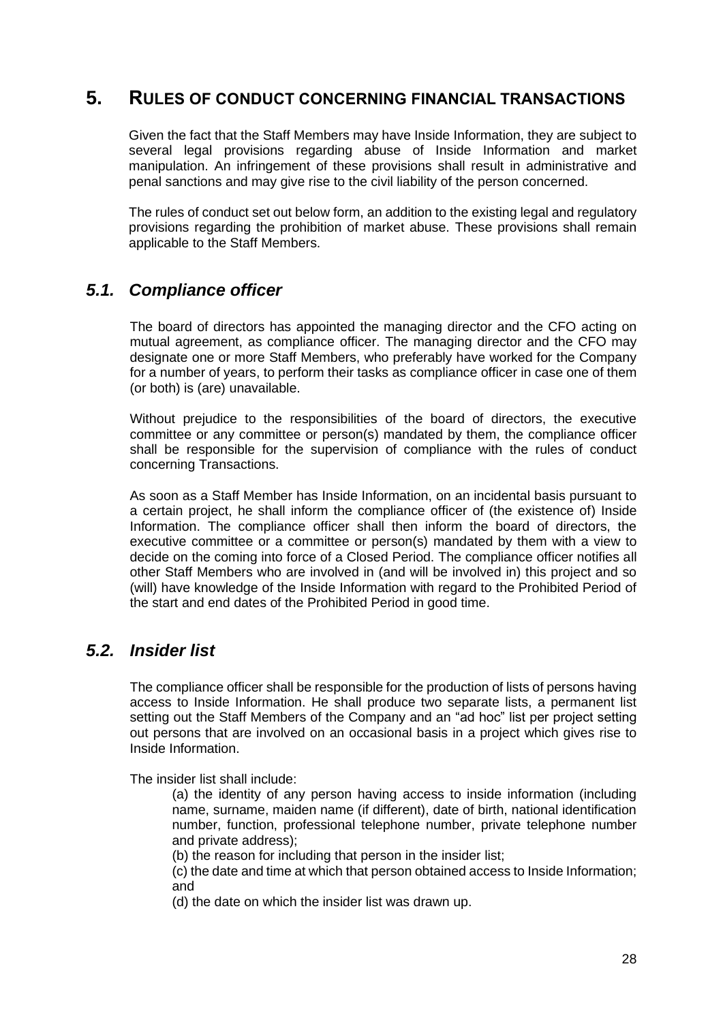### **5. RULES OF CONDUCT CONCERNING FINANCIAL TRANSACTIONS**

Given the fact that the Staff Members may have Inside Information, they are subject to several legal provisions regarding abuse of Inside Information and market manipulation. An infringement of these provisions shall result in administrative and penal sanctions and may give rise to the civil liability of the person concerned.

The rules of conduct set out below form, an addition to the existing legal and regulatory provisions regarding the prohibition of market abuse. These provisions shall remain applicable to the Staff Members.

### *5.1. Compliance officer*

The board of directors has appointed the managing director and the CFO acting on mutual agreement, as compliance officer. The managing director and the CFO may designate one or more Staff Members, who preferably have worked for the Company for a number of years, to perform their tasks as compliance officer in case one of them (or both) is (are) unavailable.

Without prejudice to the responsibilities of the board of directors, the executive committee or any committee or person(s) mandated by them, the compliance officer shall be responsible for the supervision of compliance with the rules of conduct concerning Transactions.

As soon as a Staff Member has Inside Information, on an incidental basis pursuant to a certain project, he shall inform the compliance officer of (the existence of) Inside Information. The compliance officer shall then inform the board of directors, the executive committee or a committee or person(s) mandated by them with a view to decide on the coming into force of a Closed Period. The compliance officer notifies all other Staff Members who are involved in (and will be involved in) this project and so (will) have knowledge of the Inside Information with regard to the Prohibited Period of the start and end dates of the Prohibited Period in good time.

### *5.2. Insider list*

The compliance officer shall be responsible for the production of lists of persons having access to Inside Information. He shall produce two separate lists, a permanent list setting out the Staff Members of the Company and an "ad hoc" list per project setting out persons that are involved on an occasional basis in a project which gives rise to Inside Information.

The insider list shall include:

(a) the identity of any person having access to inside information (including name, surname, maiden name (if different), date of birth, national identification number, function, professional telephone number, private telephone number and private address);

(b) the reason for including that person in the insider list;

(c) the date and time at which that person obtained access to Inside Information; and

(d) the date on which the insider list was drawn up.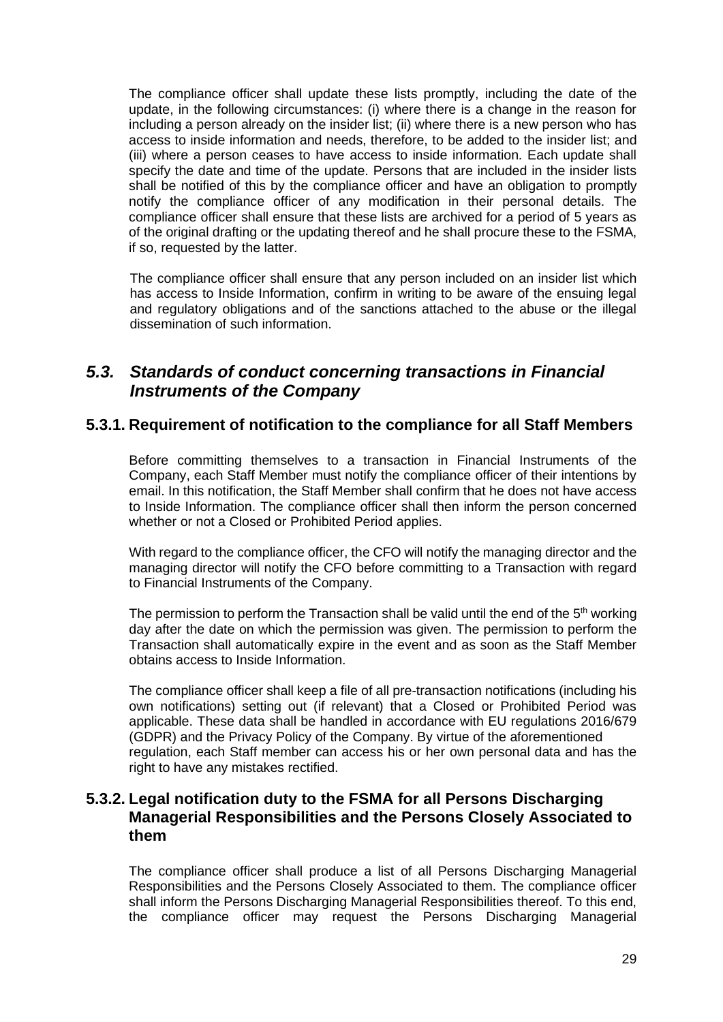The compliance officer shall update these lists promptly, including the date of the update, in the following circumstances: (i) where there is a change in the reason for including a person already on the insider list; (ii) where there is a new person who has access to inside information and needs, therefore, to be added to the insider list; and (iii) where a person ceases to have access to inside information. Each update shall specify the date and time of the update. Persons that are included in the insider lists shall be notified of this by the compliance officer and have an obligation to promptly notify the compliance officer of any modification in their personal details. The compliance officer shall ensure that these lists are archived for a period of 5 years as of the original drafting or the updating thereof and he shall procure these to the FSMA, if so, requested by the latter.

The compliance officer shall ensure that any person included on an insider list which has access to Inside Information, confirm in writing to be aware of the ensuing legal and regulatory obligations and of the sanctions attached to the abuse or the illegal dissemination of such information.

### *5.3. Standards of conduct concerning transactions in Financial Instruments of the Company*

#### **5.3.1. Requirement of notification to the compliance for all Staff Members**

Before committing themselves to a transaction in Financial Instruments of the Company, each Staff Member must notify the compliance officer of their intentions by email. In this notification, the Staff Member shall confirm that he does not have access to Inside Information. The compliance officer shall then inform the person concerned whether or not a Closed or Prohibited Period applies.

With regard to the compliance officer, the CFO will notify the managing director and the managing director will notify the CFO before committing to a Transaction with regard to Financial Instruments of the Company.

The permission to perform the Transaction shall be valid until the end of the  $5<sup>th</sup>$  working day after the date on which the permission was given. The permission to perform the Transaction shall automatically expire in the event and as soon as the Staff Member obtains access to Inside Information.

The compliance officer shall keep a file of all pre-transaction notifications (including his own notifications) setting out (if relevant) that a Closed or Prohibited Period was applicable. These data shall be handled in accordance with EU regulations 2016/679 (GDPR) and the Privacy Policy of the Company. By virtue of the aforementioned regulation, each Staff member can access his or her own personal data and has the right to have any mistakes rectified.

#### **5.3.2. Legal notification duty to the FSMA for all Persons Discharging Managerial Responsibilities and the Persons Closely Associated to them**

The compliance officer shall produce a list of all Persons Discharging Managerial Responsibilities and the Persons Closely Associated to them. The compliance officer shall inform the Persons Discharging Managerial Responsibilities thereof. To this end, the compliance officer may request the Persons Discharging Managerial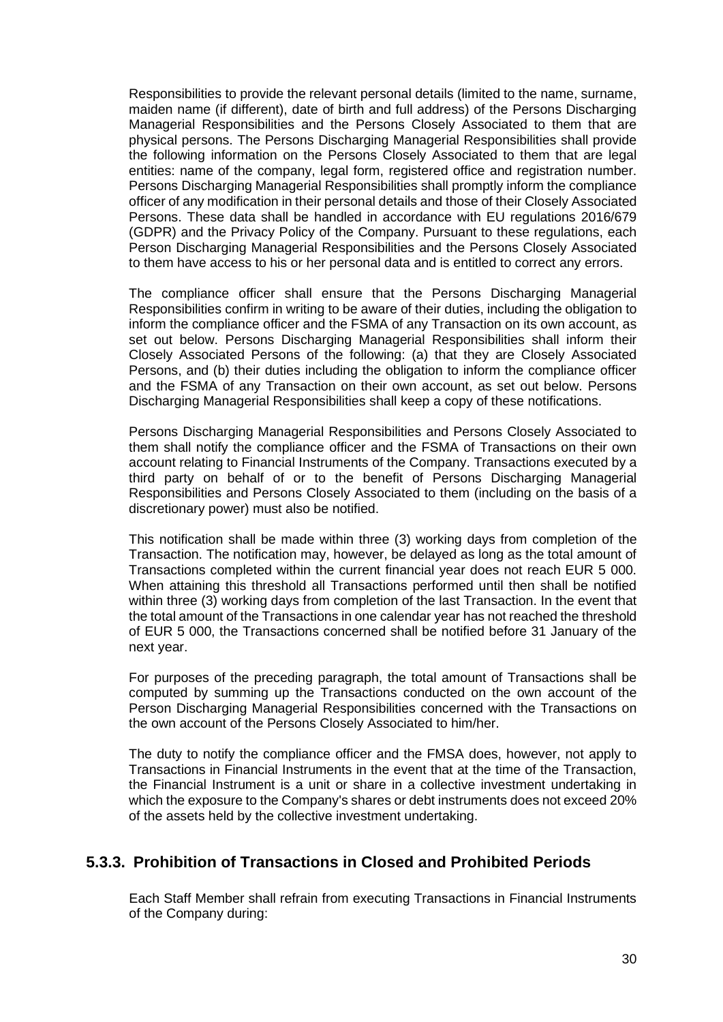Responsibilities to provide the relevant personal details (limited to the name, surname, maiden name (if different), date of birth and full address) of the Persons Discharging Managerial Responsibilities and the Persons Closely Associated to them that are physical persons. The Persons Discharging Managerial Responsibilities shall provide the following information on the Persons Closely Associated to them that are legal entities: name of the company, legal form, registered office and registration number. Persons Discharging Managerial Responsibilities shall promptly inform the compliance officer of any modification in their personal details and those of their Closely Associated Persons. These data shall be handled in accordance with EU regulations 2016/679 (GDPR) and the Privacy Policy of the Company. Pursuant to these regulations, each Person Discharging Managerial Responsibilities and the Persons Closely Associated to them have access to his or her personal data and is entitled to correct any errors.

The compliance officer shall ensure that the Persons Discharging Managerial Responsibilities confirm in writing to be aware of their duties, including the obligation to inform the compliance officer and the FSMA of any Transaction on its own account, as set out below. Persons Discharging Managerial Responsibilities shall inform their Closely Associated Persons of the following: (a) that they are Closely Associated Persons, and (b) their duties including the obligation to inform the compliance officer and the FSMA of any Transaction on their own account, as set out below. Persons Discharging Managerial Responsibilities shall keep a copy of these notifications.

Persons Discharging Managerial Responsibilities and Persons Closely Associated to them shall notify the compliance officer and the FSMA of Transactions on their own account relating to Financial Instruments of the Company. Transactions executed by a third party on behalf of or to the benefit of Persons Discharging Managerial Responsibilities and Persons Closely Associated to them (including on the basis of a discretionary power) must also be notified.

This notification shall be made within three (3) working days from completion of the Transaction. The notification may, however, be delayed as long as the total amount of Transactions completed within the current financial year does not reach EUR 5 000. When attaining this threshold all Transactions performed until then shall be notified within three (3) working days from completion of the last Transaction. In the event that the total amount of the Transactions in one calendar year has not reached the threshold of EUR 5 000, the Transactions concerned shall be notified before 31 January of the next year.

For purposes of the preceding paragraph, the total amount of Transactions shall be computed by summing up the Transactions conducted on the own account of the Person Discharging Managerial Responsibilities concerned with the Transactions on the own account of the Persons Closely Associated to him/her.

The duty to notify the compliance officer and the FMSA does, however, not apply to Transactions in Financial Instruments in the event that at the time of the Transaction, the Financial Instrument is a unit or share in a collective investment undertaking in which the exposure to the Company's shares or debt instruments does not exceed 20% of the assets held by the collective investment undertaking.

### **5.3.3. Prohibition of Transactions in Closed and Prohibited Periods**

Each Staff Member shall refrain from executing Transactions in Financial Instruments of the Company during: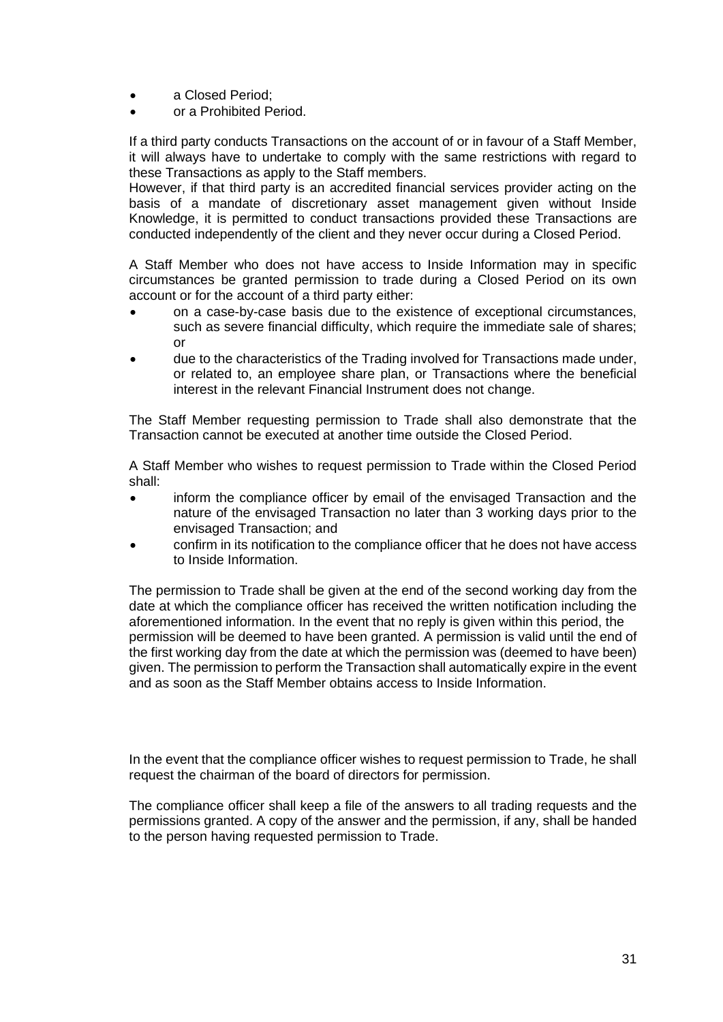- a Closed Period:
- or a Prohibited Period.

If a third party conducts Transactions on the account of or in favour of a Staff Member, it will always have to undertake to comply with the same restrictions with regard to these Transactions as apply to the Staff members.

However, if that third party is an accredited financial services provider acting on the basis of a mandate of discretionary asset management given without Inside Knowledge, it is permitted to conduct transactions provided these Transactions are conducted independently of the client and they never occur during a Closed Period.

A Staff Member who does not have access to Inside Information may in specific circumstances be granted permission to trade during a Closed Period on its own account or for the account of a third party either:

- on a case-by-case basis due to the existence of exceptional circumstances, such as severe financial difficulty, which require the immediate sale of shares; or
- due to the characteristics of the Trading involved for Transactions made under, or related to, an employee share plan, or Transactions where the beneficial interest in the relevant Financial Instrument does not change.

The Staff Member requesting permission to Trade shall also demonstrate that the Transaction cannot be executed at another time outside the Closed Period.

A Staff Member who wishes to request permission to Trade within the Closed Period shall:

- inform the compliance officer by email of the envisaged Transaction and the nature of the envisaged Transaction no later than 3 working days prior to the envisaged Transaction; and
- confirm in its notification to the compliance officer that he does not have access to Inside Information.

The permission to Trade shall be given at the end of the second working day from the date at which the compliance officer has received the written notification including the aforementioned information. In the event that no reply is given within this period, the permission will be deemed to have been granted. A permission is valid until the end of the first working day from the date at which the permission was (deemed to have been) given. The permission to perform the Transaction shall automatically expire in the event and as soon as the Staff Member obtains access to Inside Information.

In the event that the compliance officer wishes to request permission to Trade, he shall request the chairman of the board of directors for permission.

The compliance officer shall keep a file of the answers to all trading requests and the permissions granted. A copy of the answer and the permission, if any, shall be handed to the person having requested permission to Trade.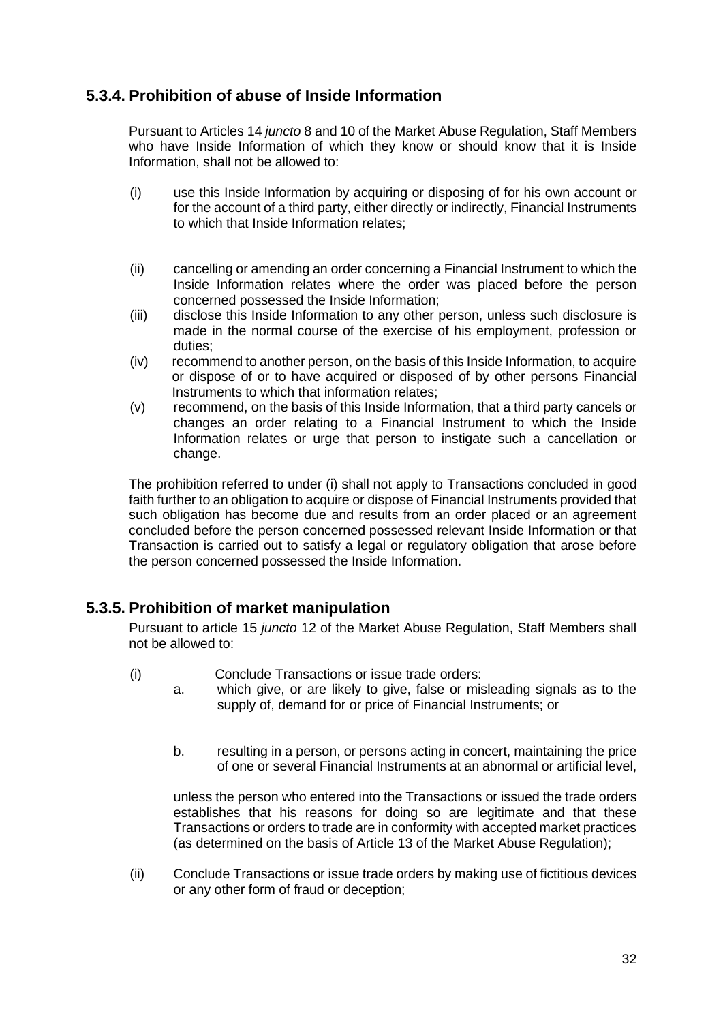### **5.3.4. Prohibition of abuse of Inside Information**

Pursuant to Articles 14 *juncto* 8 and 10 of the Market Abuse Regulation, Staff Members who have Inside Information of which they know or should know that it is Inside Information, shall not be allowed to:

- (i) use this Inside Information by acquiring or disposing of for his own account or for the account of a third party, either directly or indirectly, Financial Instruments to which that Inside Information relates;
- (ii) cancelling or amending an order concerning a Financial Instrument to which the Inside Information relates where the order was placed before the person concerned possessed the Inside Information;
- (iii) disclose this Inside Information to any other person, unless such disclosure is made in the normal course of the exercise of his employment, profession or duties;
- (iv) recommend to another person, on the basis of this Inside Information, to acquire or dispose of or to have acquired or disposed of by other persons Financial Instruments to which that information relates;
- (v) recommend, on the basis of this Inside Information, that a third party cancels or changes an order relating to a Financial Instrument to which the Inside Information relates or urge that person to instigate such a cancellation or change.

The prohibition referred to under (i) shall not apply to Transactions concluded in good faith further to an obligation to acquire or dispose of Financial Instruments provided that such obligation has become due and results from an order placed or an agreement concluded before the person concerned possessed relevant Inside Information or that Transaction is carried out to satisfy a legal or regulatory obligation that arose before the person concerned possessed the Inside Information.

### **5.3.5. Prohibition of market manipulation**

Pursuant to article 15 *juncto* 12 of the Market Abuse Regulation, Staff Members shall not be allowed to:

- (i) Conclude Transactions or issue trade orders:
	- a. which give, or are likely to give, false or misleading signals as to the supply of, demand for or price of Financial Instruments; or
		- b. resulting in a person, or persons acting in concert, maintaining the price of one or several Financial Instruments at an abnormal or artificial level,

unless the person who entered into the Transactions or issued the trade orders establishes that his reasons for doing so are legitimate and that these Transactions or orders to trade are in conformity with accepted market practices (as determined on the basis of Article 13 of the Market Abuse Regulation);

(ii) Conclude Transactions or issue trade orders by making use of fictitious devices or any other form of fraud or deception;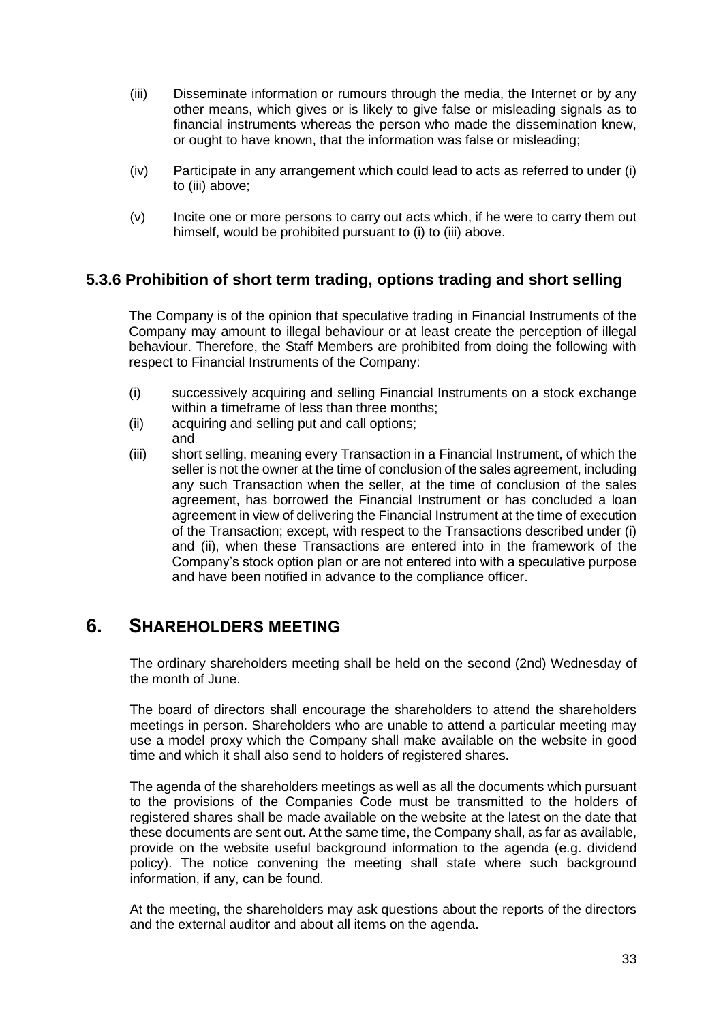- (iii) Disseminate information or rumours through the media, the Internet or by any other means, which gives or is likely to give false or misleading signals as to financial instruments whereas the person who made the dissemination knew, or ought to have known, that the information was false or misleading;
- (iv) Participate in any arrangement which could lead to acts as referred to under (i) to (iii) above;
- (v) Incite one or more persons to carry out acts which, if he were to carry them out himself, would be prohibited pursuant to (i) to (iii) above.

### **5.3.6 Prohibition of short term trading, options trading and short selling**

The Company is of the opinion that speculative trading in Financial Instruments of the Company may amount to illegal behaviour or at least create the perception of illegal behaviour. Therefore, the Staff Members are prohibited from doing the following with respect to Financial Instruments of the Company:

- (i) successively acquiring and selling Financial Instruments on a stock exchange within a timeframe of less than three months:
- (ii) acquiring and selling put and call options;
- and
- (iii) short selling, meaning every Transaction in a Financial Instrument, of which the seller is not the owner at the time of conclusion of the sales agreement, including any such Transaction when the seller, at the time of conclusion of the sales agreement, has borrowed the Financial Instrument or has concluded a loan agreement in view of delivering the Financial Instrument at the time of execution of the Transaction; except, with respect to the Transactions described under (i) and (ii), when these Transactions are entered into in the framework of the Company's stock option plan or are not entered into with a speculative purpose and have been notified in advance to the compliance officer.

### **6. SHAREHOLDERS MEETING**

The ordinary shareholders meeting shall be held on the second (2nd) Wednesday of the month of June.

The board of directors shall encourage the shareholders to attend the shareholders meetings in person. Shareholders who are unable to attend a particular meeting may use a model proxy which the Company shall make available on the website in good time and which it shall also send to holders of registered shares.

The agenda of the shareholders meetings as well as all the documents which pursuant to the provisions of the Companies Code must be transmitted to the holders of registered shares shall be made available on the website at the latest on the date that these documents are sent out. At the same time, the Company shall, as far as available, provide on the website useful background information to the agenda (e.g. dividend policy). The notice convening the meeting shall state where such background information, if any, can be found.

At the meeting, the shareholders may ask questions about the reports of the directors and the external auditor and about all items on the agenda.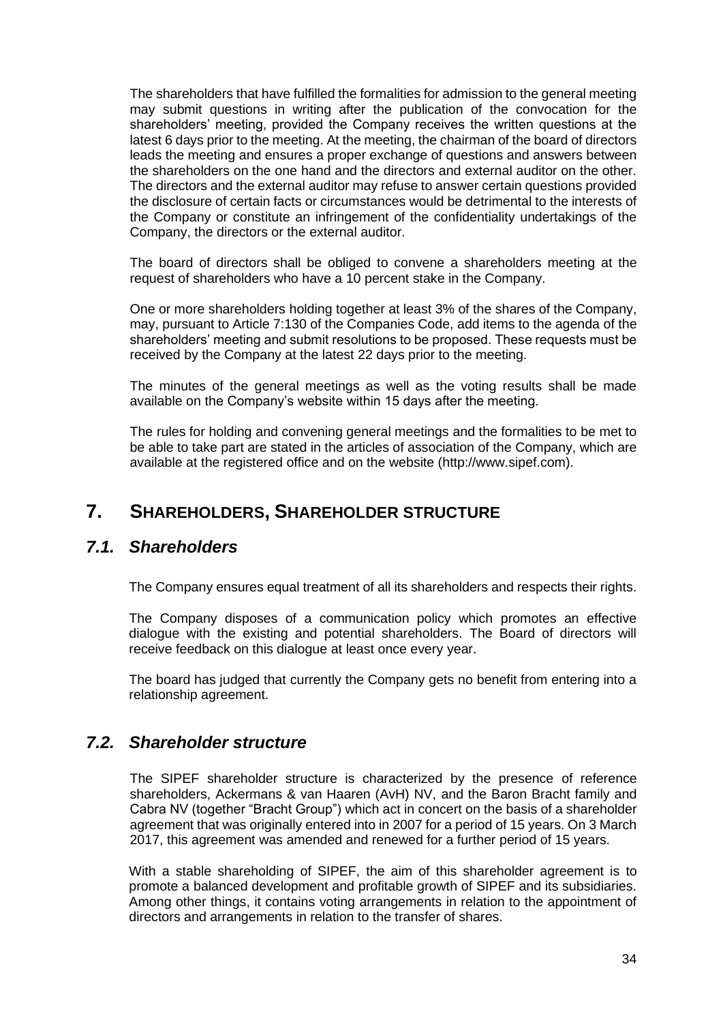The shareholders that have fulfilled the formalities for admission to the general meeting may submit questions in writing after the publication of the convocation for the shareholders' meeting, provided the Company receives the written questions at the latest 6 days prior to the meeting. At the meeting, the chairman of the board of directors leads the meeting and ensures a proper exchange of questions and answers between the shareholders on the one hand and the directors and external auditor on the other. The directors and the external auditor may refuse to answer certain questions provided the disclosure of certain facts or circumstances would be detrimental to the interests of the Company or constitute an infringement of the confidentiality undertakings of the Company, the directors or the external auditor.

The board of directors shall be obliged to convene a shareholders meeting at the request of shareholders who have a 10 percent stake in the Company.

One or more shareholders holding together at least 3% of the shares of the Company, may, pursuant to Article 7:130 of the Companies Code, add items to the agenda of the shareholders' meeting and submit resolutions to be proposed. These requests must be received by the Company at the latest 22 days prior to the meeting.

The minutes of the general meetings as well as the voting results shall be made available on the Company's website within 15 days after the meeting.

The rules for holding and convening general meetings and the formalities to be met to be able to take part are stated in the articles of association of the Company, which are available at the registered office and on the website (http://www.sipef.com).

## **7. SHAREHOLDERS, SHAREHOLDER STRUCTURE**

#### *7.1. Shareholders*

The Company ensures equal treatment of all its shareholders and respects their rights.

The Company disposes of a communication policy which promotes an effective dialogue with the existing and potential shareholders. The Board of directors will receive feedback on this dialogue at least once every year.

The board has judged that currently the Company gets no benefit from entering into a relationship agreement.

### *7.2. Shareholder structure*

The SIPEF shareholder structure is characterized by the presence of reference shareholders, Ackermans & van Haaren (AvH) NV, and the Baron Bracht family and Cabra NV (together "Bracht Group") which act in concert on the basis of a shareholder agreement that was originally entered into in 2007 for a period of 15 years. On 3 March 2017, this agreement was amended and renewed for a further period of 15 years.

With a stable shareholding of SIPEF, the aim of this shareholder agreement is to promote a balanced development and profitable growth of SIPEF and its subsidiaries. Among other things, it contains voting arrangements in relation to the appointment of directors and arrangements in relation to the transfer of shares.